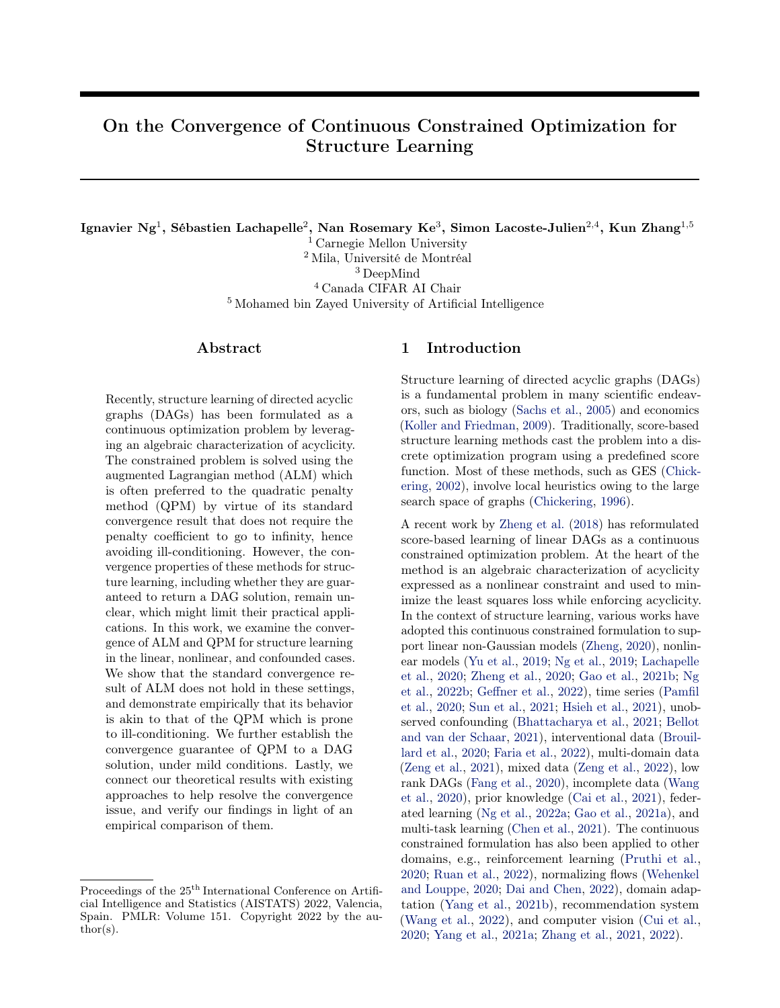# On the Convergence of Continuous Constrained Optimization for Structure Learning

Ignavier Ng<sup>1</sup>, Sébastien Lachapelle<sup>2</sup>, Nan Rosemary Ke<sup>3</sup>, Simon Lacoste-Julien<sup>2,4</sup>, Kun Zhang<sup>1,5</sup>

<sup>1</sup> Carnegie Mellon University

<sup>2</sup> Mila, Université de Montréal

<sup>3</sup> DeepMind

<sup>4</sup> Canada CIFAR AI Chair

<sup>5</sup> Mohamed bin Zayed University of Artificial Intelligence

## Abstract

Recently, structure learning of directed acyclic graphs (DAGs) has been formulated as a continuous optimization problem by leveraging an algebraic characterization of acyclicity. The constrained problem is solved using the augmented Lagrangian method (ALM) which is often preferred to the quadratic penalty method (QPM) by virtue of its standard convergence result that does not require the penalty coefficient to go to infinity, hence avoiding ill-conditioning. However, the convergence properties of these methods for structure learning, including whether they are guaranteed to return a DAG solution, remain unclear, which might limit their practical applications. In this work, we examine the convergence of ALM and QPM for structure learning in the linear, nonlinear, and confounded cases. We show that the standard convergence result of ALM does not hold in these settings, and demonstrate empirically that its behavior is akin to that of the QPM which is prone to ill-conditioning. We further establish the convergence guarantee of QPM to a DAG solution, under mild conditions. Lastly, we connect our theoretical results with existing approaches to help resolve the convergence issue, and verify our findings in light of an empirical comparison of them.

## <span id="page-0-0"></span>1 Introduction

Structure learning of directed acyclic graphs (DAGs) is a fundamental problem in many scientific endeavors, such as biology [\(Sachs et al.,](#page-10-0) [2005\)](#page-10-0) and economics [\(Koller and Friedman,](#page-10-1) [2009\)](#page-10-1). Traditionally, score-based structure learning methods cast the problem into a discrete optimization program using a predefined score function. Most of these methods, such as GES [\(Chick](#page-9-0)[ering,](#page-9-0) [2002\)](#page-9-0), involve local heuristics owing to the large search space of graphs [\(Chickering,](#page-9-1) [1996\)](#page-9-1).

A recent work by [Zheng et al.](#page-11-0) [\(2018\)](#page-11-0) has reformulated score-based learning of linear DAGs as a continuous constrained optimization problem. At the heart of the method is an algebraic characterization of acyclicity expressed as a nonlinear constraint and used to minimize the least squares loss while enforcing acyclicity. In the context of structure learning, various works have adopted this continuous constrained formulation to support linear non-Gaussian models [\(Zheng,](#page-11-1) [2020\)](#page-11-1), nonlinear models [\(Yu et al.,](#page-11-2) [2019;](#page-11-2) [Ng et al.,](#page-10-2) [2019;](#page-10-2) [Lachapelle](#page-10-3) [et al.,](#page-10-3) [2020;](#page-10-3) [Zheng et al.,](#page-11-3) [2020;](#page-11-3) [Gao et al.,](#page-9-2) [2021b;](#page-9-2) [Ng](#page-10-4) [et al.,](#page-10-4) [2022b;](#page-10-4) [Geffner et al.,](#page-9-3) [2022\)](#page-9-3), time series [\(Pamfil](#page-10-5) [et al.,](#page-10-5) [2020;](#page-10-5) [Sun et al.,](#page-11-4) [2021;](#page-11-4) [Hsieh et al.,](#page-9-4) [2021\)](#page-9-4), unobserved confounding [\(Bhattacharya et al.,](#page-9-5) [2021;](#page-9-5) [Bellot](#page-9-6) [and van der Schaar,](#page-9-6) [2021\)](#page-9-6), interventional data [\(Brouil](#page-9-7)[lard et al.,](#page-9-7) [2020;](#page-9-7) [Faria et al.,](#page-9-8) [2022\)](#page-9-8), multi-domain data [\(Zeng et al.,](#page-11-5) [2021\)](#page-11-5), mixed data [\(Zeng et al.,](#page-11-6) [2022\)](#page-11-6), low rank DAGs [\(Fang et al.,](#page-9-9) [2020\)](#page-9-9), incomplete data [\(Wang](#page-11-7) [et al.,](#page-11-7) [2020\)](#page-11-7), prior knowledge [\(Cai et al.,](#page-9-10) [2021\)](#page-9-10), federated learning [\(Ng et al.,](#page-10-6) [2022a;](#page-10-6) [Gao et al.,](#page-9-11) [2021a\)](#page-9-11), and multi-task learning [\(Chen et al.,](#page-9-12) [2021\)](#page-9-12). The continuous constrained formulation has also been applied to other domains, e.g., reinforcement learning [\(Pruthi et al.,](#page-10-7) [2020;](#page-10-7) [Ruan et al.,](#page-10-8) [2022\)](#page-10-8), normalizing flows [\(Wehenkel](#page-11-8) [and Louppe,](#page-11-8) [2020;](#page-11-8) [Dai and Chen,](#page-9-13) [2022\)](#page-9-13), domain adaptation [\(Yang et al.,](#page-11-9) [2021b\)](#page-11-9), recommendation system [\(Wang et al.,](#page-11-10) [2022\)](#page-11-10), and computer vision [\(Cui et al.,](#page-9-14) [2020;](#page-9-14) [Yang et al.,](#page-11-11) [2021a;](#page-11-11) [Zhang et al.,](#page-11-12) [2021,](#page-11-12) [2022\)](#page-11-13).

Proceedings of the  $25<sup>th</sup>$  International Conference on Artificial Intelligence and Statistics (AISTATS) 2022, Valencia, Spain. PMLR: Volume 151. Copyright 2022 by the au- $\text{thor}(s)$ .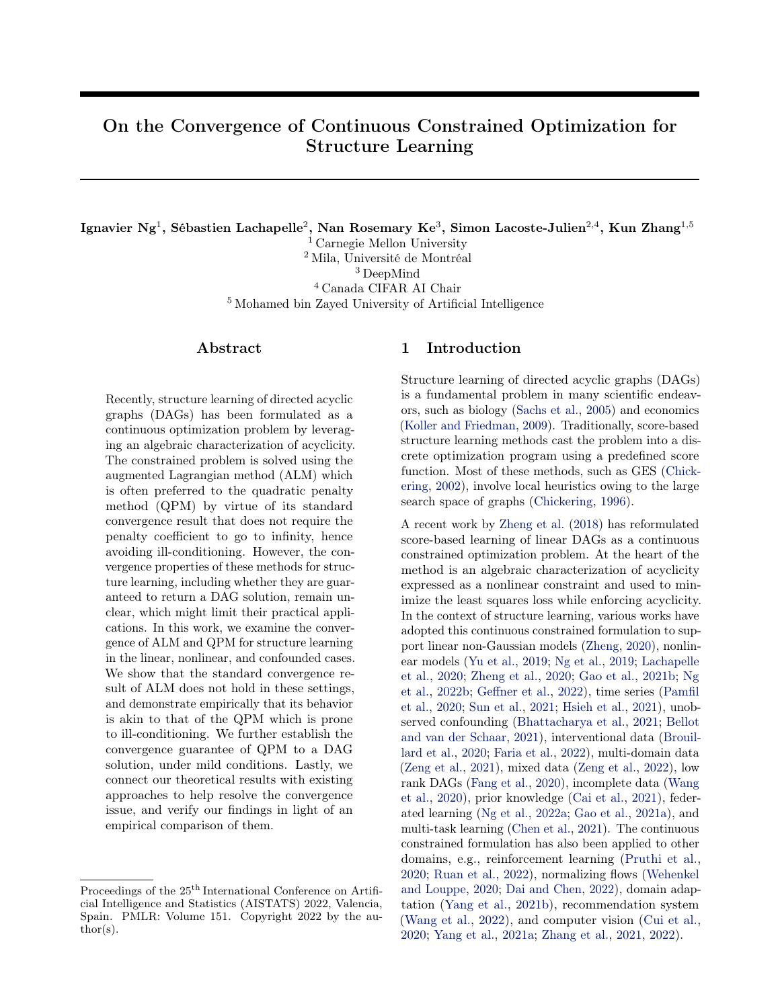Like in the original work, most of these extensions rely on the augmented Lagrangian method (ALM) [\(Bert](#page-9-15)[sekas,](#page-9-15) [1982,](#page-9-15) [1999\)](#page-9-16) to solve the continuous constrained optimization problem. This choice of algorithm was originally motivated by the convergence result of ALM, which, unlike the classical *quadratic penalty method* (QPM) [\(Powell,](#page-10-9) [1969;](#page-10-9) [Fletcher,](#page-9-17) [1987\)](#page-9-17), does not require increasing the penalty coefficient to infinity [\(Zheng](#page-11-0) [et al.,](#page-11-0) [2018,](#page-11-0) Proposition 3). Despite abundant extensions and applications of the continuous constrained formulation, it remains unclear whether the required conditions for the standard convergence result of ALM, or more specifically, the regularity conditions, are satisfied in these settings, and whether the continuous constrained formulation is guaranteed to converge to a DAG solution, which is a key to structure learning.

Contributions. We examine the convergence properties of ALM and QPM for structure learning in the linear, nonlinear, and confounded cases. We conclude (i) that, unfortunately, the conditions behind standard convergence result of ALM are not satisfied in these settings, (ii) that, furthermore, the empirical behavior of ALM is similar to QPM that requires the penalty coefficient to go to infinity and is prone to ill-conditioning, and (iii) that, interestingly, QPM is guaranteed to converge to a DAG solution, under mild conditions. We then provide the implications of our theoretical results for existing approaches to help resolve the convergence issue, with an empirical comparison of them that verifies our findings and makes them more intuitive.

We note that the problem has received considerable attention. For instance, [Wei et al.](#page-11-14) [\(2020\)](#page-11-14) studied a related problem, involving the regularity conditions of the continuous constrained formulation. It is worth mentioning that our contributions are different and more complete in terms of the technical development and results. Specifically, [Wei et al.](#page-11-14) [\(2020\)](#page-11-14) focused on the Karush-Kuhn-Tucker (KKT) conditions, while our study focuses on the convergence of specific constrained optimization methods (i.e., ALM and QPM), which provides practical insight for solving the optimization problem. Furthermore, they focused on the linear case, while our results also apply to the nonlinear and confounded cases, under the same umbrella.

**Organization of the paper.** We give an overview of score-based learning, continuous constrained formulation of structure learning, and the ALM in Section [2.](#page-1-0) In Section [3,](#page-3-0) we examine the convergence of ALM and QPM for structure learning in the linear and nonlinear cases. We extend the results to the confounded case in Section [4,](#page-4-0) and connect them with different approaches to resolve the convergence issue in Section [5.](#page-5-0) We provide empirical studies in Section [6](#page-6-0) to verify our results, and conclude our work in Section [7.](#page-8-0)

## <span id="page-1-0"></span>2 Background

We provide a brief review of score-based structure learning, the NOTEARS method [\(Zheng et al.,](#page-11-0) [2018\)](#page-11-0) and the standard convergence result of ALM.

#### 2.1 Score-Based Structure Learning

Structure learning refers to the problem of learning a graphical structure (in our case a DAG) from data. Given the random vector  $X = (X_1, \ldots, X_d)$  consisting of  $d$  random variables, we assume that the corresponding design matrix  $\mathbf{X} = \begin{bmatrix} \mathbf{X}_1 & \mathbf{X}_d \end{bmatrix}$   $2 \mathbb{R}^{n-d}$ is generated from a joint distribution  $P(X)$  (with a density  $p(x)$  that is Markov with respect to the ground truth DAG G and can be factorized as  $p(x) =$  $\prod_{i=1}^{d} p_i(x_i|x_{\mathsf{PA}_i^G})$ , where  $\mathsf{PA}_i^G$  designates the set of parents of  $X_i$  in the DAG G. In general, the underlying DAG is only identifiable up to Markov equivalence under the faithfulness [\(Spirtes et al.,](#page-11-15) [2000\)](#page-11-15) or the sparsest Markov representation assumption [\(Raskutti and Uh](#page-10-10)[ler,](#page-10-10) [2018\)](#page-10-10). Under certain assumptions on the data distribution, the DAG G is fully identifiable, such as the linear non-Gaussian model [\(Shimizu et al.,](#page-11-16) [2006\)](#page-11-16), linear Gaussian model with equal noise variances [\(Pe](#page-10-11)[ters and Bühlmann,](#page-10-11) [2013a\)](#page-10-11), nonlinear additive noise model [\(Hoyer et al.,](#page-9-18) [2009;](#page-9-18) [Peters et al.,](#page-10-12) [2014\)](#page-10-12), and post-nonlinear model [\(Zhang and Hyvärinen,](#page-11-17) [2009\)](#page-11-17).

To recover the structure  $G$  or its Markov equivalence class, a major class of structure learning methods are the score-based methods that solves an optimization problem over the space of graphs using some goodness-of-fit measure with a sparsity regularization term. Some examples include GES [\(Chickering,](#page-9-0) [2002\)](#page-9-0),  $\ell_0$ -regularized likelihood [\(Van de Geer and Bühlmann,](#page-11-18) [2013\)](#page-11-18), integer linear programming [\(Jaakkola et al.,](#page-10-13) [2010;](#page-10-13) [Cussens,](#page-9-19) [2011\)](#page-9-19), dynamic programming [\(Koivisto](#page-10-14) [and Sood,](#page-10-14) [2004;](#page-10-14) [Ott et al.,](#page-10-15) [2004;](#page-10-15) [Singh and Moore,](#page-11-19)  $2005$ , and  $A^*$  [\(Yuan and Malone,](#page-11-20) [2013\)](#page-11-20). Most of these methods tackle the structure search problem in its natural discrete form.

## <span id="page-1-1"></span>2.2 Continuous Constrained Optimization for Structure Learning

NOTEARS. [Zheng et al.](#page-11-0) [\(2018\)](#page-11-0) proposed a continuous constrained formulation for score-based learning of linear DAGs. In particular, the linear DAG model is equivalently represented by the linear structural equation model (SEM)

<span id="page-1-2"></span>
$$
X = W^{\top} X + N,\tag{1}
$$

where  $W$  is the weighted adjacency matrix of a DAG, and N is a noise vector characterized by the noise covariance matrix  $\Omega$ . We assume here that the elements of N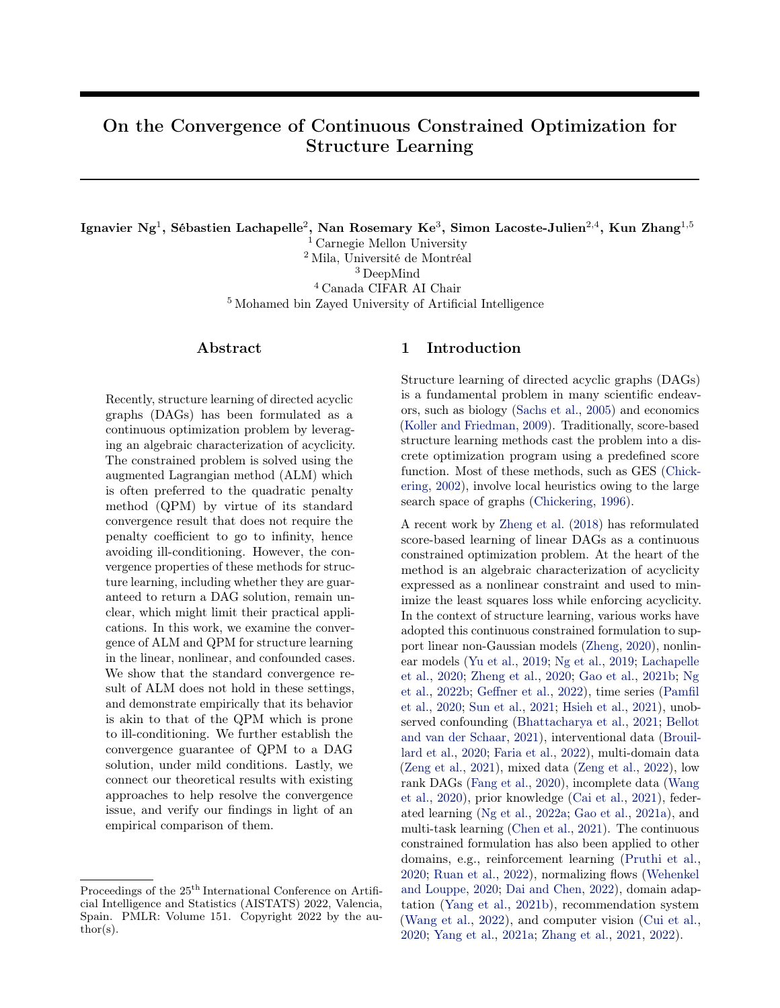are mutually independent, and there is no unobserved confounder. Denoting by the element-wise product, and by  $e^M$  the matrix exponential of a square matrix M, the authors have shown that  $tr(e^{W-W})$   $d=0$ holds if and only if W represents a DAG. The resulting continuous constrained optimization problem is

$$
\min_{W \geq \mathbb{R}^{d-d}} \frac{1}{2n} k\mathbf{X} \quad \mathbf{X} W k_2^2 + \lambda k W k_1
$$
\nsubject to 
$$
\text{tr}(e^{W-W}) \quad d = 0,
$$

where  $k \; k_2$  and  $k \; k_1$  denote the element-wise  $\ell_2$  and  $\ell_1$  norms, respectively, and  $\lambda$  is the regularization coefficient. Here,  $(1/2n)kX$   $XWk<sub>2</sub><sup>2</sup>$  is the least squares objective and is equal, up to a constant, to the loglikelihood of linear Gaussian DAGs assuming equal noise variances. The  $\ell_1$  regularization term  $kWk_1$  is useful for enforcing sparsity on the matrix W.

NOTEARS-MLP. To generalize the above formulation to the nonlinear case, [Zheng et al.](#page-11-3) [\(2020\)](#page-11-3) used multi-layer perceptrons (MLPs) to model nonlinear relationships. For each variable  $X_i$ , let  $\textsf{MLP}(u; A_i)$  be the corresponding MLP with input row vector  $u, \ell$ layers, weights  $A_i = (A_i^{(1)}, \dots, A_i^{(\ell)})$ , and element-wise activation function  $\sigma($ ), defined as follows:

$$
\begin{aligned} \text{MLP}(u; A_i) &= \sigma \big( \quad \sigma(\sigma(uA_i^{(1)}) A_i^{(2)} \big) \quad ) A_i^{(\ell)}, \\ A_i^{(t)} \, 2 \, \mathbb{R}^{s_{t-1} - s_t}, \quad s_0 &= d, \ s_\ell = 1. \end{aligned}
$$

Let  $A = (A_1, \ldots, A_d)$  denote the weights of MLPs corresponding to all variables. The authors defined an equivalent adjacency matrix  $(B(A))_{ji} = kj$ th-row $(A_i^{(1)})k_2$ and proposed to solve the optimization problem

$$
\min_{A} \frac{1}{n} \sum_{i=1}^{d} k \mathbf{X}_i \quad \text{MLP}(\mathbf{X}; A_i) k_2^2 + \lambda k A_i^{(1)} k_1
$$
\nsubject to 
$$
\text{tr}(e^{B(A) - B(A)}) \quad d = 0.
$$

As described in Section [1,](#page-0-0) there are several other extensions of NOTEARS to the nonlinear case that also adopt the continuous constrained formulation, e.g., DAG-GNN [\(Yu et al.,](#page-11-2) [2019\)](#page-11-2), GraN-DAG [\(Lachapelle](#page-10-3) [et al.,](#page-10-3) [2020\)](#page-10-3), and MCSL [\(Ng et al.,](#page-10-4) [2022b\)](#page-10-4). In this work we focus on NOTEARS-MLP for convergence analysis, since it is conceptually simple compared to the others. We leave the analysis for the others for future work.

Optimization. The above optimization problems involve a hard DAG constraint and are solved via ALM, a general method for continuous constrained optimization, which we review next.

#### <span id="page-2-2"></span>2.3 Augmented Lagrangian Method

Consider the generic constrained optimization problem

<span id="page-2-0"></span>
$$
\min_{\theta \ge R^m} f(\theta) \text{ subject to } h(\theta) = 0,
$$
 (2)

<span id="page-2-1"></span>Algorithm 1 Augmented Lagrangian Method [\(No](#page-10-16)[cedal and Wright,](#page-10-16) [2006,](#page-10-16) Framework 17.3)

- **Require:** starting penalty coefficient  $\rho_1 > 0$ ; starting Lagrange multiplier  $\alpha_1$ ; multiplicative factor  $\beta > 1$ ; reduction factor  $\gamma < 1$ ; nonnegative sequence  $f_{\tau_k} g$ ; starting point  $\theta_0$
- 1: for  $k = 1, 2, ...$  do
- 2: Find an approximate minimizer  $\theta_k$  of  $L(\, , \alpha_k; \rho_k),$  starting at point  $\theta_{k-1}$ , and terminating when  $k \cap \partial L(\theta, \alpha_k; \rho_k) k_2$   $\tau_k$
- 3: if final convergence test satisfied then
- 4: **stop** with approximate solution  $\theta_k$
- 5: end if
- 6: Update multiplier  $\alpha_{k+1} = \alpha_k + \rho_k h(\theta_k)$
- 7: **if**  $kh(\theta_k)k_2 > \gamma kh(\theta_{k-1})k_2$  then<br>8: Update penalty coefficient  $\rho_k$
- Update penalty coefficient  $\rho_{k+1} = \beta \rho_k$
- 9: else
- 10: Update penalty coefficient  $\rho_{k+1} = \rho_k$
- 11: end if
- 12: end for

where the functions  $f : \mathbb{R}^m$  !  $\mathbb{R}$  and  $h : \mathbb{R}^m$  !  $\mathbb{R}^p$  are both twice continuously differentiable.

The ALM transforms a constrained optimization problem like [\(2\)](#page-2-0) into a sequence of unconstrained ones with solutions converging to a solution of the original problem. The key idea is to combine the Lagrangian formulation with QPM, yielding an augmented problem

$$
\min_{\theta \ge R^m} f(\theta) + \frac{\rho}{2} k h(\theta) k_2^2 \text{ subject to } h(\theta) = 0,
$$

where  $\rho > 0$  is the penalty coefficient. The augmented Lagrangian function of the formulation above is

$$
L(\theta, \alpha; \rho) = f(\theta) + \alpha^{\mathsf{T}} h(\theta) + \frac{\rho}{2} k h(\theta) k_2^2,
$$

where  $\alpha \supseteq \mathbb{R}^p$  is an estimate of the Lagrange multiplier. A version of the procedure is described in Algorithm [1,](#page-2-1) which is essentially based on dual ascent. The minimization problem of  $L(\theta, \alpha; \rho)$  can sometimes be solved only to stationarity, if, for example, it is nonconvex, as is the case in the formulation of NOTEARS owing to the nonconvexity of its specific constraint function.

Based on the procedure of ALM outlined above, we review one of its standard convergence results [\(Bertsekas,](#page-9-15) [1982,](#page-9-15) [1999;](#page-9-16) [Nocedal and Wright,](#page-10-16) [2006\)](#page-10-16). The following definition is required to state this result and is crucial to the contribution of our work.

Definition 1 (Regular point). We say that a point  $\theta$  is regular, or that it satisfies the linear independence constraint qualification (LICQ), if the rows of the Jacobian matrix of h evaluated at  $\theta$ ,  $\theta \rho h(\theta) \geq \mathbb{R}^{p-m}$ , are linearly independent.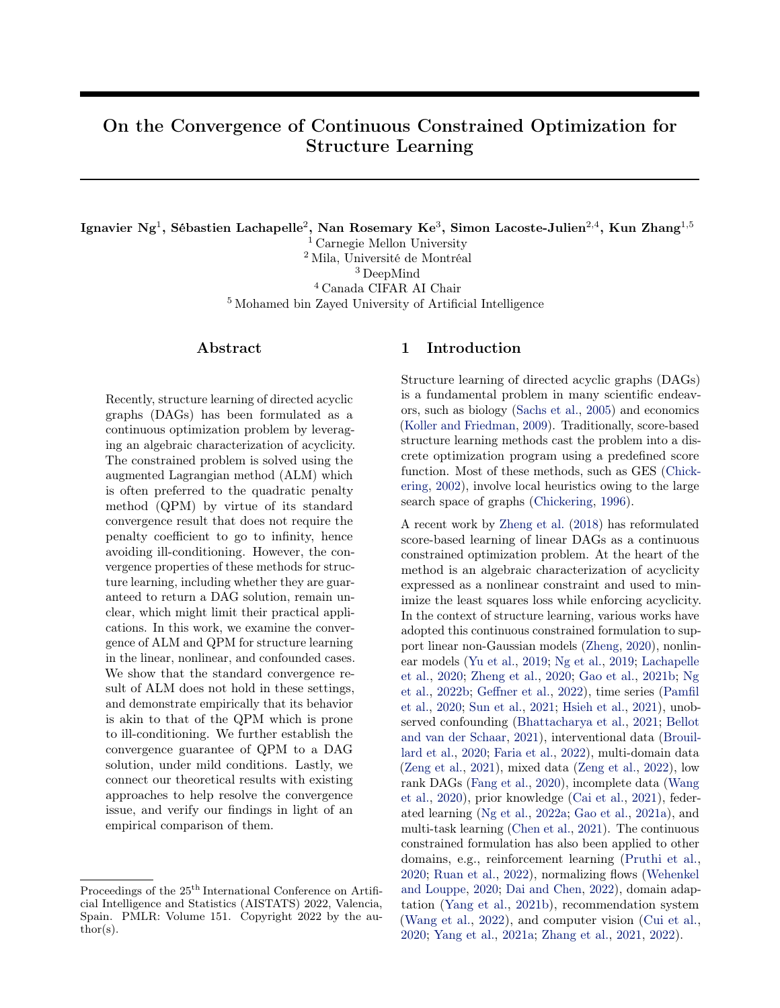<span id="page-3-1"></span>Theorem 1 [\(Nocedal and Wright](#page-10-16) [\(2006,](#page-10-16) Theorem 17.5 & 17.6)). Let  $\theta$  be a regular point of [\(2\)](#page-2-0) that satisfies the second-order su cient conditions (see Appendix [A\)](#page-12-0) with vector  $\alpha$ . Then there exist positive scalars  $\bar{\rho}$  (su ciently large),  $\delta$ ,  $\epsilon$ , and M such that for all  $\alpha_k$  and  $\rho_k$  satisfying

$$
k\alpha_k \quad \alpha \quad k_2 \quad \rho_k \delta, \quad \rho_k \quad \bar{\rho},
$$

the problem

 $\min_{\theta \ge R^m} L(\theta, \alpha_k; \rho_k)$  subject to  $k\theta \quad \theta \quad k_2 \quad \epsilon$ 

has a unique solution  $\theta_k$ . Moreover, we have

<span id="page-3-2"></span>
$$
k\theta_k \quad \theta \quad k_2 \qquad Mk\alpha_k \qquad \alpha \quad k_2/\rho_k \tag{3}
$$

and

<span id="page-3-3"></span> $k\alpha_{k+1}$   $\alpha$   $k_2$   $Mk\alpha_k$   $\alpha$   $k_2/\rho_k$ , (4)

where  $\alpha_{k+1} = \alpha_k + \rho_k h(\theta_k)$ .

An important consequence of Theorem [1](#page-3-1) is that if the penalty coefficient  $\rho_k$  is larger than both  $\bar{\rho}$  and  $k\alpha_k \alpha_k \langle \delta \rangle$ , then the inequalities [\(3\)](#page-3-2) and [\(4\)](#page-3-3) hold. If, in addition,  $\rho_k > M$ , then  $\alpha_k$  !  $\alpha$  by [\(4\)](#page-3-3) and  $\theta_k$  !  $\theta$  by [\(3\)](#page-3-2), without increasing the coe cient  $\rho_k$ to infinity. This property often motivates the usage of the ALM over the other approaches, e.g., QPM, for constrained optimization. Specifically, this was the original motivation provided by [Zheng et al.](#page-11-0) [\(2018,](#page-11-0) Proposition 3) for using the ALM. The reason is that the QPM requires bringing the penalty coefficient  $\rho_k$  to infinity, which may lead to ill-conditioning issue when solving the minimization problem. In the next section, we examine the required conditions and show that Theorem [1](#page-3-1) does not apply to the continuous constrained formulation proposed by [Zheng et al.](#page-11-0) [\(2018,](#page-11-0) [2020\)](#page-11-3).

## <span id="page-3-0"></span>3 Convergence of the Continuous Constrained Optimization Methods

In this section, we take a closer look at the convergence of ALM and QPM for learning DAGs in the linear and nonlinear cases. We assume that there is no unobserved confounder and focus on the formulation of NOTEARS and NOTEARS-MLP. We will show in Section [4](#page-4-0) that our analysis generalizes to the confounded case. We consider the constrained optimization problem

<span id="page-3-4"></span>
$$
\min_{\theta} f(\theta) \text{ subject to } h(B(\theta)) = 0,
$$
 (5)

where  $f(\theta)$  is the objective function and  $h(B(\theta))$  is a (scalar-valued) constraint function that enforces acyclicity on the (equivalent) weighted adjacency matrix  $B(\theta)$ . We assume here that the functions  $f, h$ , and  $B$  are continuously differentiable. Specifically, the constraint

term proposed by [Zheng et al.](#page-11-0) [\(2018\)](#page-11-0) is given by  $h_{\text{exp}}(B(\theta)) = \text{tr}(e^{B(\theta) - B(\theta)})$  d. As described in Sec-tion [2.2,](#page-1-1) in the linear case, the parameter  $\theta$  corresponds to the weighted adjacency matrix of the linear SEM, i.e., we have  $\theta = W$  and  $B(W) = W$ . In the nonlinear case, the parameter  $\theta$  corresponds to the weights of the MLPs. That is, we have  $\theta = A$ and  $(B(A))_{ji} = kj$ th-row $(A_i^{(1)})_{i}$ . Hereafter we use  $f(W)$  and  $h_{\text{exp}}(W)$  to refer to the objective and DAG constraint term in the linear case, and  $f(A)$  and  $h_{\text{exp}}(B(A))$  to refer to those in the nonlinear case.

By assuming that function  $f$  is continuously differentiable, our analysis does not consider the  $\ell_1$  regularization for simplicity. In Section [6,](#page-6-0) we study empirically the constrained formulation with and without the excluded regularization term, and show that our analysis appears to generalize to the  $\ell_1$ -regularized case.

#### <span id="page-3-8"></span>3.1 Regularity of DAG Constraint Term

To investigate whether Theorem [1](#page-3-1) applies to problem [\(5\)](#page-3-4), one has to first verify if the DAG constraint term  $h(B(\theta))$  satisfies the regularity conditions. The following condition is required for our analysis.

<span id="page-3-5"></span>**Assumption 1.** The function  $h(B(\theta)) = 0$  if and only if its gradient  $r_{\theta}h(B(\theta)) = 0$ .

Both DAG constraint terms in the linear and nonlinear cases satisfy the assumption above, with a proof provided in Appendix [B.1.](#page-12-1)

<span id="page-3-6"></span>**Theorem 2.** The functions  $h_{\text{exp}}(W)$  and  $h_{\text{exp}}(B(A))$ satisfy Assumption [1.](#page-3-5)

Assumption [1](#page-3-5) implies that the Jacobian matrix of function  $h(B(\theta))$  (after reshaping) evaluated at any feasible point of problem [\(5\)](#page-3-4) corresponds to a zero row vector, which is itself is not linearly independent and therefore leads to the following remark.

<span id="page-3-7"></span>**Remark 1.** If the function  $h(B(\theta))$  satisfies Assumption [1,](#page-3-5) any feasible solution of problem [\(5\)](#page-3-4) is not regular and Theorem [1](#page-3-1) does not apply.

With Theorem [2,](#page-3-6) this shows that the advantage of ALM (illustrated by Theorem [1\)](#page-3-1) does not apply to the DAG constraints developed by [Zheng et al.](#page-11-0) [\(2018,](#page-11-0) [2020\)](#page-11-3) in the linear and nonlinear cases. Hence, we are left with no guarantee that the penalty coefficient  $\rho$ does not have to go to infinity for ALM to converge. In Section [6.1,](#page-6-1) we show empirically that  $\rho$  grows without converging just like it would in QPM that is prone to ill-conditioning, which we describe in the next section.

#### 3.2 Quadratic Penalty Method

Apart from ALM, QPM is another method for solving the constrained optimization problem [\(5\)](#page-3-4), whose con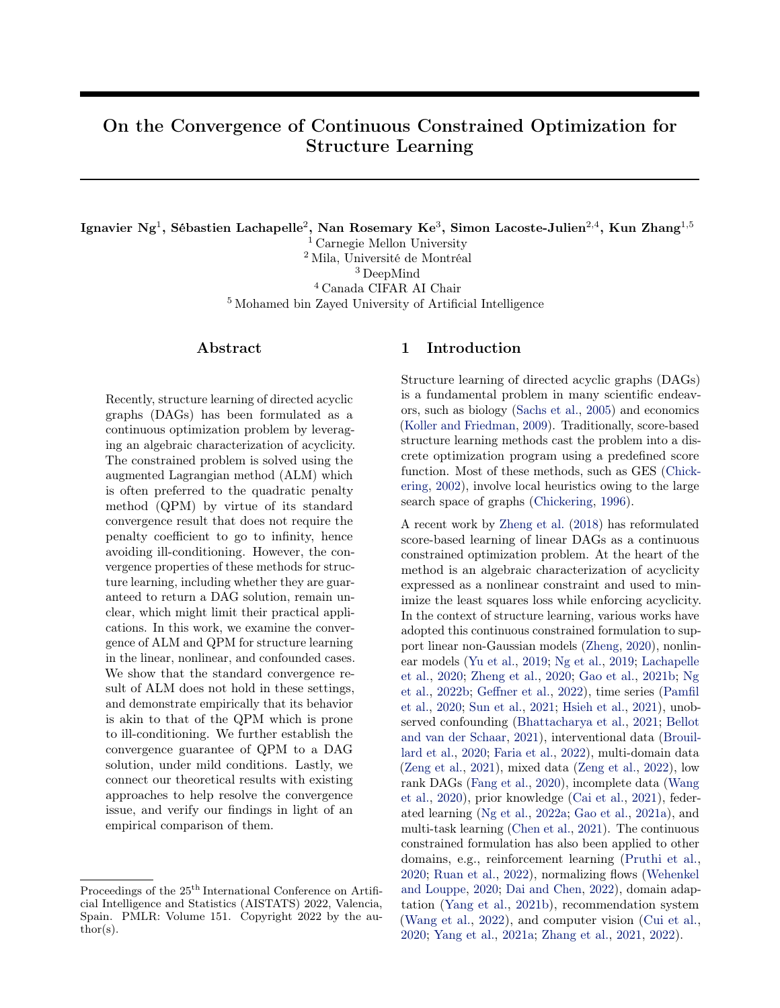<span id="page-4-1"></span>Algorithm 2 Quadratic Penalty Method [\(Nocedal](#page-10-16) [and Wright,](#page-10-16) [2006,](#page-10-16) Framework 17.1)

**Require:** starting penalty coefficient  $\rho_1 > 0$ ; multiplicative factor  $\beta > 1$ ; nonnegative sequence  $f_{\tau_k} g$ ; starting point  $\theta_0$ 

1: for  $k = 1, 2, ...$  do

- 2: Find an approximate minimizer  $\theta_k$  of  $Q(\cdot;\rho_k)$ , starting at point  $\theta_{k-1}$ , and terminating when  $k \Gamma_{\theta} Q(\theta; \rho_k) k_2 \tau_k$
- 3: if final convergence test satisfied then
- 4: **stop** with approximate solution  $\theta_k$
- 5: end if
- 6: Update penalty coefficient  $\rho_{k+1} = \beta \rho_k$
- 7: end for

vergence property is studied in this section. We first define the quadratic penalty function

<span id="page-4-4"></span>
$$
Q(\theta; \rho) = f(\theta) + \frac{\rho}{2} h(B(\theta))^2, \tag{6}
$$

and describe the procedure of QPM in Algorithm [2.](#page-4-1) Note that it is essentially the same as ALM but without the Lagrangian part, and thus has a simpler procedure.

This approach adds a quadratic penalty term for the constraint violation to the objective  $f(\theta)$ . By gradually increasing the penalty coefficient  $\rho$ , we penalize the constraint violation with increasing severity. Therefore, it makes intuitive sense to think that the procedure converges to a feasible solution (i.e., a DAG solution) as we bring  $\rho$  to infinity. However, this is not necessarily true: in general, Algorithm [2](#page-4-1) returns only a stationary point of the quadratic penalty term  $h(B(\theta))^2$  [\(Nocedal](#page-10-16) [and Wright,](#page-10-16) [2006,](#page-10-16) Theorem 17.2). Fortunately, if the DAG constraint term  $h(B(\theta))$  satisfies Assumption [1,](#page-3-5) the procedure is guaranteed to converge to a feasible solution, under mild conditions, formally stated in Theorem [3.](#page-4-2) The proof is provided in Appendix [B.2.](#page-14-0) Note that this theorem and its proof are adapted from Theorem 17.2 in [Nocedal and Wright](#page-10-16) [\(2006\)](#page-10-16).

<span id="page-4-2"></span>Theorem 3. Suppose in Algorithm [2](#page-4-1) that the penalty coe cients satisfy  $\rho_k$  ! 1 and the sequence of nonnegative tolerances  $f\tau_k g$  is bounded.<sup>[1](#page-4-3)</sup> Suppose also that the function  $h(B(\theta))$  satisfies Assumption [1.](#page-3-5) Then every limit point  $\theta$  of the sequence  $f\theta_k g$  is feasible.

**Remark 2.** With the constraint terms  $h_{exp}(W)$  and  $h_{\text{exp}}(B(A))$ , Theorems [3](#page-4-2) and [2](#page-3-6) guarantee that, under mild conditions, Algorithm [2](#page-4-1) returns a DAG solution as  $\rho_k$ ! 1 based on inexact minimizations of  $Q(\cdot;\rho_k)$ .

Although the standard convergence result of ALM (i.e., Theorem [1\)](#page-3-1) does not hold as the DAG constraint terms proposed by [Zheng et al.](#page-11-0) [\(2018,](#page-11-0) [2020\)](#page-11-3) satisfy Assumption [1,](#page-3-5) this property ensures that QPM returns a DAG, which is indeed a key to structure learning. The remark above also explains why the implementations of ALM with these two constraints often return DAG solutions in practice (after thresholding). Furthermore, if Assumption [1](#page-3-5) is satisfied, Theorem [3](#page-4-2) verifies that one can directly use the value of DAG constraint term as an indicator for the final convergence test in Algorithm [2,](#page-4-1) i.e.,  $h(B(\theta_k)) \in \text{with } \epsilon > 0 \text{ being a small tolerance.}$ It is worth noting that this convergence test has been adopted in the current implementation of NOTEARS [\(Zheng et al.,](#page-11-0) [2018\)](#page-11-0) and most of its extensions.

Practical issue. In practice, one is, at most, only able to increase the penalty coefficient  $\rho$  to a very large value, e.g., of order  $10^{16}$ . Therefore, the final solution can only satisfy  $h(B(\theta)) \in \mathfrak{u}$  to numerical precision with  $\epsilon > 0$  being a small tolerance, e.g., of order 10 <sup>8</sup> . In this case, the solution may contain many entries close to zero and does not correspond exactly to a DAG. Following [Zheng et al.](#page-11-0) [\(2018\)](#page-11-0), a thresholding step on the estimated entries is needed to convert the solution into a DAG; the experiments in Section [6.1](#page-6-1) suggest that a small threshold (e.g., 0.05) suffices. However, a moderately large threshold (e.g., 0.3) can still be useful for reducing the false discoveries.

#### 3.3 Other DAG Constraint Term

Apart from the matrix exponential term proposed by [Zheng et al.](#page-11-0) [\(2018\)](#page-11-0), [Yu et al.](#page-11-2) [\(2019\)](#page-11-2) developed a polynomial alternative that may have better numerical stability with a proper choice of  $\mu > 0$ :

$$
h_{\text{poly}}(B(\theta)) = \text{tr}\left( (I + \mu B(\theta) - B(\theta))^d \right) - d.
$$

Our analysis generalizes to the above constraint term.

**Corollary 1.** The functions  $h_{\text{pol}}(W)$  and  $h_{\text{pol}}(B(A))$ satisfy Assumption [1.](#page-3-5)

## <span id="page-4-0"></span>4 With Unobserved Confounding

We study whether our convergence analysis is applicable to the confounded case. Recently, [Bhattacharya](#page-9-5) [et al.](#page-9-5) [\(2021\)](#page-9-5) applied the continuous constrained formulation proposed by [Zheng et al.](#page-11-0) [\(2018\)](#page-11-0) to estimate structures with unobserved confounding, by deriving algebraic characterizations for different classes of acyclic directed mixed graphs (ADMGs), i.e., ancestral, arid, and bow-free graphs. Here we consider the bow-free graphs that are the least restrictive for our further analysis. Note that a bow-free ADMG refers to an ADMG in which the directed and bidirected edges do not both appear for any pair of vertices.

<span id="page-4-3"></span><sup>&</sup>lt;sup>1</sup>A stricter condition  $\tau_k$  ! 0 is often used in the analysis of QPM [\(Nocedal and Wright,](#page-10-16) [2006,](#page-10-16) Theorem 17.2) but is not required here.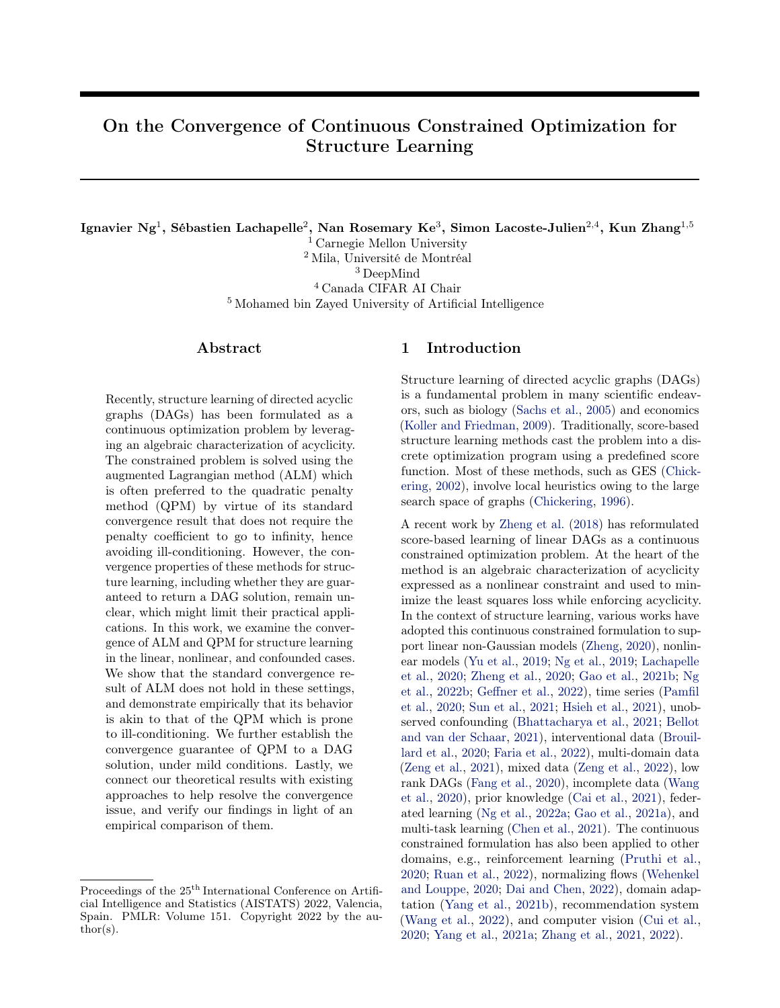Denote by W and  $\Omega$  the weighted adjacency matrix and noise covariance matrix of the linear SEM defined in Eq. [\(1\)](#page-1-2). In the confounded case, there exist unobserved variables that are parents of more than one observed variable, implying that the noise terms are correlated [\(Pearl,](#page-10-17) [2009\)](#page-10-17). Since  $\Omega$  is symmetric, we have  $X_i \nsubseteq X_j$ ,  $i \notin j$  in the ADMG if and only if  $\Omega_{ji} \notin 0$ . In other words, the weighted adjacency matrix W and noise covariance matrix  $\Omega$  represent the directed and bidirected edges in the ADMG, respectively. [Bhat](#page-9-5)[tacharya et al.](#page-9-5) [\(2021\)](#page-9-5) adopted the ALM to solve the constrained optimization problem [\(5\)](#page-3-4) with the approx-imate BIC score [\(Su et al.,](#page-11-21) [2016\)](#page-11-21), where  $\theta$  corresponds to the parameters W and  $\Omega$ . In this case, the algebraic constraint term of bow-free ADMGs is given by

$$
h_{\text{bf}}(W,\Omega) = \text{tr}(e^{W-W}) \quad d + \text{sum}(W-W \Omega \Omega).
$$

The authors have shown that  $h_{\text{bf}}(W, \Omega) = 0$  if and only if the ADMG defined by W and  $\Omega$  corresponds to a bow-free graph. To study the convergence property of ALM in this case, we have the following result regarding its regularity, with a proof given in Appendix [B.3.](#page-14-1)

<span id="page-5-1"></span>**Theorem 4.**  $h_{\text{bf}}(W, \Omega)$  satisfies Assumption [1.](#page-3-5)

Similar result also holds for the polynomial constraint term proposed by [Yu et al.](#page-11-2) [\(2019\)](#page-11-2).

Corollary 2. Theorems [4](#page-5-1) holds if the matrix exponential  $e^{W-\tilde{W}}$  in the function  $h_{\textit{bf}}(W,\Omega)$  is replaced with the matrix polynomial  $(I + \mu W \quad W)^d$  for any  $\mu > 0$ .

As a consequence, similar to the setting of NOTEARS and NOTEARS-MLP studied in Section [3,](#page-3-0) Remark [1](#page-3-7) indicates there is no guarantee such that the penalty coefficient  $\rho$  does not have to go to infinity for ALM to converge. Fortunately, with Theorem [3,](#page-4-2) using QPM to solve the constrained optimization problem is guaranteed to return a solution that satisfies  $h_{\text{bf}}(W,\Omega) = \epsilon$ up to numerical precision, under mild conditions.

## <span id="page-5-0"></span>5 Resolving the Convergence Issue

The analysis in Sections [3](#page-3-0) and [4](#page-4-0) implies that the advantage of ALM illustrated by Theorem [1](#page-3-1) does not hold in the continuous constrained formulation for structure learning. Specifically, it is not guaranteed that the penalty coefficient does not have to be increased indefinitely for the convergence of ALM. The experiments in Section [6.1](#page-6-1) verify this study and show empirically that ALM requires increasing the coefficient to a very large value to converge to a DAG solution, similar to QPM. This is known to cause numerical difficulties and ill-conditioning issues on the objective landscape [\(Bert](#page-9-16)[sekas,](#page-9-16) [1999;](#page-9-16) [Nocedal and Wright,](#page-10-16) [2006\)](#page-10-16). The reason is that when the penalty term is large, the Hessian matrix is ill-conditioned and has a high condition number. In this case, the function contour is stretched out, and the gradients may not be the best direction to descend to the minimum, leading to a zigzag path. This is illustrated by a bivariate example in Appendix [C.](#page-14-2)

In light of our theoretical results, we give a brief overview on different approaches that help resolve the convergence issue, and provide an empirical comparison of them in Sections [6.2](#page-7-0) and [6.3](#page-8-1) to illustrate our findings. In particular, the first approach uses a second-order method that is less susceptible to ill-conditioning, while the second approach devises an alternative algebraic DAG constraint with a local search procedure. The last two approaches adopt a different unconstrained formulation, thus avoiding the convergence issue caused by the hard DAG constraint in problem [\(5\)](#page-3-4).

It is worth noting that the effectiveness of some of the approaches below have been studied separately in the papers that proposed them. To the best of our knowledge, some of these approaches have not been connected with the convergence issue of NOTEARS, which is the focus of this section as well as Sections [6.2](#page-7-0) and [6.3](#page-8-1) . Doing so allows one to understand which approach better resolves the convergence issue.

Second-order method. As pointed out by [Bert](#page-9-16)[sekas](#page-9-16) [\(1999\)](#page-9-16); [Antoniou and Lu](#page-9-20) [\(2007\)](#page-9-20); [Bottou et al.](#page-9-21) [\(2018\)](#page-9-21), one may consider using a second-order method such as the quasi-Newton method [\(Nocedal and Wright,](#page-10-16) [2006\)](#page-10-16) that handles ill-conditioning better by incorporating curvature information through approximations of the Hessian matrix. This is consistent with the recent works [\(Zheng et al.,](#page-11-0) [2018,](#page-11-0) [2020;](#page-11-3) [Pamfil et al.,](#page-10-5) [2020\)](#page-10-5) that adopt L-BFGS [\(Byrd et al.,](#page-9-22) [2003\)](#page-9-22) to solve the optimization subproblems. However, the original motivation of using quasi-Newton method was mainly about efficiency consideration, or, specifically, to reduce the number of evaluations of the matrix exponential that takes  $O(d^3)$  cost [\(Al-Mohy and Higham,](#page-9-23) [2009;](#page-9-23) [Zheng](#page-11-0) [et al.,](#page-11-0) [2018\)](#page-11-0). We note here that another key advantage of using L-BFGS is, interestingly, to help resolve ill-conditioning issue, as verified by the experiments in Section [6.2](#page-7-0) and a bivariate example in Appendix [C.](#page-14-2)

Absolute value adjacency matrix and KKTinformed local search. In contrast to the quadratic adjacency matrix  $B(\theta)$   $B(\theta)$  in the DAG constraint term  $h_{\text{exp}}(B(\theta))$ , the Abs-KKTS method proposed by [Wei et al.](#page-11-14) [\(2020\)](#page-11-14) adopts an absolute value adjacency matrix given by  $h_{\exp}^{\theta}(B(\theta)) = \text{tr}(e^{i B(\theta)j}) \quad d$ , where j j denotes the element-wise absolute value of a matrix, together with a local search procedure informed by the KKT conditions as a post-processing step. The resulting procedure returns a solution that satisfies the KKT conditions, and leads to improvement in the structure learning performance of NOTEARS.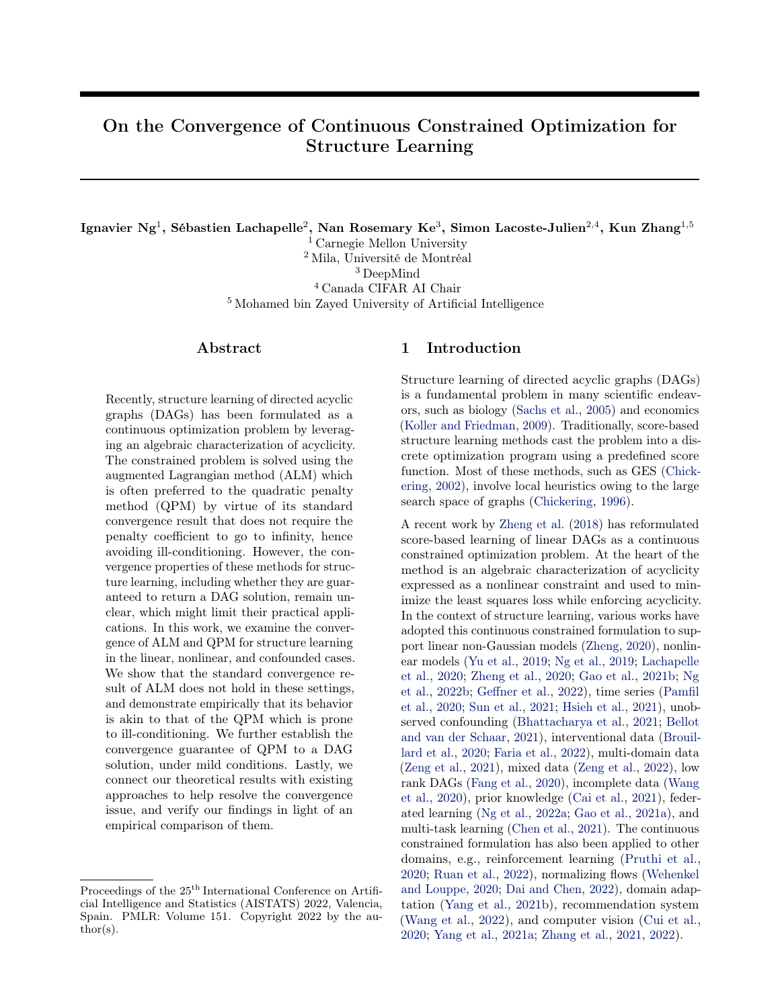Soft constraints. [Ng et al.](#page-10-18) [\(2020\)](#page-10-18) showed that soft sparsity and DAG constraints suffice to asymptotically estimate a DAG equivalent to the true DAG under mild conditions when using the likelihood of linear Gaussian directed graphical models (possibly cyclic) as the objective function instead of the least squares loss that corresponds to the likelihood of linear Gaussian DAGs. This gives rise to the following unconstrained optimization problem in the case of equal noise variances, denoted as GOLEM-EV:

$$
\min_{W \supseteq \mathbb{R}^{d}} \frac{d}{2} \log k \mathbf{X} \quad \mathbf{X} W k_2^2 \quad \log/\det(I \quad W) / \frac{1}{2} + \lambda_1 k W k_1 + \lambda_2 h_{\exp}(W),
$$

where  $\lambda_1$  and  $\lambda_2$  are the regularization coefficients. With this unconstrained formulation, the illconditioning issue caused by the hard DAG constraint in problem [\(5\)](#page-3-4) can be completely avoided, since one is able to directly solve the above problem using continuous optimization, without the need of any constrained optimization method like ALM or QPM.

Direct optimization in DAG space. [Yu et al.](#page-11-22) [\(2021\)](#page-11-22) developed an algebraic representation of DAGs based on graph Hodge theory [\(Jiang et al.,](#page-10-19) [2011;](#page-10-19) [Bang-](#page-9-24)[Jensen and Gutin,](#page-9-24) [2009\)](#page-9-24), and showed that one can directly perform continuous optimization in the space of all possible DAGs without relying on a hard DAG constraint. Similar to GOLEM-EV, the constrained optimization problem [\(5\)](#page-3-4) can be reformulated in the linear case as an unconstrained one

<span id="page-6-2"></span>
$$
(U, p) = \underset{U2S, p \, \text{and}}{\text{arg min}} \quad f(U \quad \text{ReLU}(\text{grad}(p))), \quad (7)
$$

where  $S$  refers to the space of all  $d - d$  skew-symmetric matrices,  $(\text{grad}(p))_{ji} = p_i \quad p_j$  denotes the gradient flow defined on the nodes of a graph [\(Lim,](#page-10-20) [2015\)](#page-10-20), and  $(\text{ReLU}(M))_{ii} = \max(0, M_{ii})$  denotes the rectified linear unit function [\(Nair and Hinton,](#page-10-21) [2010\)](#page-10-21) of a square matrix  $M$ . The final solution is given by  $W = U$  ReLU(grad(p)), whose nonzero entries are guaranteed to represent a DAG [\(Yu et al.,](#page-11-22) [2021,](#page-11-22) Theorem 3.5). Since the objective function is highly nonconvex, randomly initializing  $U$  and  $p$  may lead to a stationary point far from the global optimum. The authors thus proposed a two-step procedure, denoted as NoCurl, that first obtains a rough estimate of the solution by solving the subproblem of NOTEARS either once or twice with a slightly large penalty coefficient (e.g.,  $\rho = 10^3$ ), and uses that estimate to compute the initialization of  $U$  and  $p$  for problem [\(7\)](#page-6-2). Similar to second-order method, this method was originally motivated by efficiency consideration. Since it avoids the hard DAG constraint and accordingly does not require a large penalty coefficient, we note that this method can also help avoid the ill-conditioning issue.

#### <span id="page-6-0"></span>6 Experiments

We conduct experiments on the structure learning tasks and take a closer look at the optimization processes to verify our study. In Section [6.1,](#page-6-1) we demonstrate that ALM behaves similarly to QPM, both of which converge to an approximately DAG solution when the penalty coefficients are very large. We compare the ability of different optimization algorithms to handle ill-conditioning in Section [6.2,](#page-7-0) and the other approaches to help resolve the convergence issue in Section [6.3.](#page-8-1)

Methods. We experiment with both NOTEARS and NOTEARS-MLP. We also consider their variants with the  $\ell_1$  regularization term, denoted as NOTEARS-L1 and NOTEARS-MLP-L1, respectively.

Implementations. Our implementations are based on the code<sup>[2](#page-6-3)</sup> released by [Zheng et al.](#page-11-0) [\(2018,](#page-11-0) [2020\)](#page-11-3) with the DAG constraint term  $h_{\text{exp}}(B)$ . We also use the least squares objective and default hyperparameters in our experiments. Unless otherwise stated, we employ the L-BFGS algorithm [\(Byrd et al.,](#page-9-22) [2003\)](#page-9-22) to solve each subproblem and a threshold of 0.3 for post-processing. In the linear case, we use a pre-processing step to center the data by subtracting the mean of each variable from the samples  $X$ . The code is available at [https:](https://github.com/ignavierng/notears-convergence) [//github.com/ignavierng/notears-convergence](https://github.com/ignavierng/notears-convergence).

Simulations. We simulate the ground truth DAGs using the Erdös–Rényi [\(Erdös and Rényi,](#page-9-25) [1959\)](#page-9-25) or scale-free [\(Barabási and Albert,](#page-9-26) [1999\)](#page-9-26) model with kd edges on average, denoted as  $ERk$  or  $SFR$ , respectively. Unless otherwise stated, based on the graph sizes  $d \nightharpoonup 710, 20, 50, 100q$  and different data generating procedures, we generate 1000 samples with standard Gaussian noises. For NOTEARS and NOTEARS-L1, we simulate the linear DAG model with edge weights sampled uniformly from  $\begin{bmatrix} 2, & 0.5 \end{bmatrix}$  [0.5, 2], similar to [\(Zheng et al.,](#page-11-0) [2018\)](#page-11-0). For the nonlinear variants NOTEARS-MLP and NOTEARS-MLP-L1, we consider the data generating procedure used by [Zheng](#page-11-3) [et al.](#page-11-3) [\(2020\)](#page-11-3), where each function is sampled from a Gaussian process with RBF kernel of bandwidth one. Both data models are known to be fully identifiable [\(Peters and Bühlmann,](#page-10-11) [2013a;](#page-10-11) [Peters et al.,](#page-10-12) [2014\)](#page-10-12).

Metrics. We report the structural Hamming distance (SHD), structural intervention distance (SID) [\(Peters and Bühlmann,](#page-10-22) [2013b\)](#page-10-22) and true positive rate (TPR), averaged over 30 random trials.

#### <span id="page-6-1"></span>6.1 ALM Behaves Similarly to QPM

We conduct experiments to show that ALM behaves similarly to QPM in the context of structure learning,

<span id="page-6-3"></span><sup>2</sup> <https://github.com/xunzheng/notears>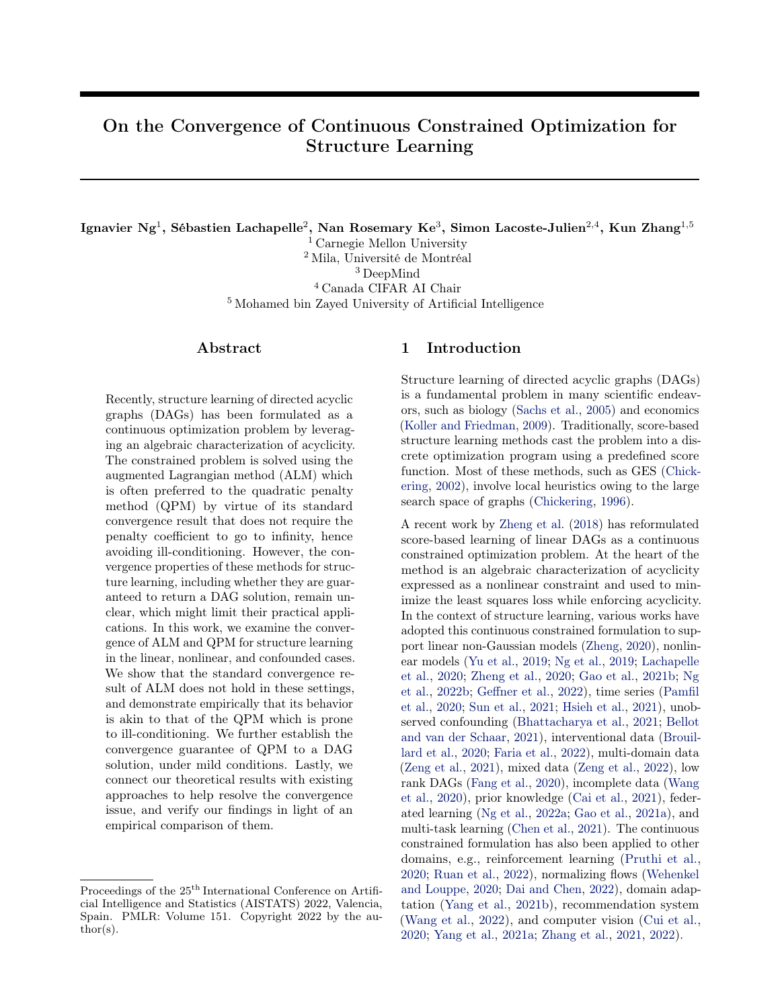<span id="page-7-1"></span>

Figure 1: Optimization processes of NOTEARS using ALM and QPM on synthetic data. The ground truths are 10-node ER1 graphs and the sample size is  $n = 1000$ . Each data point corresponds to the k-th iteration.

and that both of them converge to a DAG solution. Our goal here is not to show that QPM performs better than ALM, but rather to study their empirical behavior.

We first take a closer look at the optimization processes of ALM and QPM on the 10-node ER1 graphs. Fig-ure [1](#page-7-1) depicts the penalty coefficient  $\rho_k$ , estimate of Lagrange multiplier  $\alpha_k$  (only for ALM), value of DAG constraint term  $h_{\text{exp}}(B(\theta_k))$ , and number of cycles in the k-th iteration of the optimization for NOTEARS, while those for NOTEARS-L1, NOTEARS-MLP, and NOTEARS-MLP-L1 are visualized in Figure [5](#page-17-0) in Appendix [E.](#page-16-0) Note that we use a small threshold 0.05 when computing the number of cycles. Complementing our study in Section [3.1,](#page-3-8) ALM requires a very large coefficient  $\rho_k$  to converge, similar to QPM, which suggests that they both behave similarly and that the standard convergence result of ALM appears to not hold here. On the other hand, when the penalty coefficient  $\rho_k$ is very large, one observes that both ALM and QPM converge to a solution whose value of  $h_{\text{exp}}(B(\theta_k))$  is very close to zero, i.e., smaller than  $10^{-8}$ , which yields a DAG solution after thresholding at 0.05. Since one is not able to increase the penalty coefficient  $\rho_k$  to infinity in practice, this serves as an empirical validation of Theorem [3.](#page-4-2) Interestingly, Figures [1](#page-7-1) and [5](#page-17-0) suggest that one may consider using QPM instead of ALM in practice as it converges in fewer number of iterations.

We further investigate whether ALM and QPM yield similar structure learning performance. The results with ER1 graphs are reported in Figure [6](#page-18-0) in Appendix [E,](#page-16-0) showing that ALM performs similarly to QPM across all metrics. All these observations appear to generalize to the case with  $\ell_1$  regularization term that is not covered by our analysis in Section [3.](#page-3-0)

Real data. We conduct empirical studies to verify whether our observations hold on the protein signaling dataset by [Sachs et al.](#page-10-0) [\(2005\)](#page-10-0). Due to the limited space, the optimization processes of ALM and QPM on this dataset are shown in Figure [7,](#page-19-0) which yield consistent observations with those on synthetic data, i.e., ALM

behaves similarly to QPM that requires the penalty coefficient to be very large (e.g.,  $10^{12}$ ), both of which converge to a solution whose value of  $h_{\text{exp}}(B(\theta_k))$  is very close to zero, yielding a DAG after thresholding.

## <span id="page-7-0"></span>6.2 Different Optimization Algorithms for Handling Ill-Conditioning

The previous experiments demonstrate that ALM behaves similarly to QPM that requires bringing the penalty coefficient to infinity in order to converge to a DAG solution, which is known to cause numerical difficulties and ill-conditioning issues on the objective landscape [\(Bertsekas,](#page-9-16) [1999;](#page-9-16) [Nocedal and Wright,](#page-10-16) [2006\)](#page-10-16). Here we experiment with different optimization algorithms for solving the QPM subproblems of NOTEARS and NOTEARS-MLP-L1, to investigate which of them handle ill-conditioning better and produce a better solution in practice. The optimization algorithms include gradient descent with momentum [\(Qian,](#page-10-23) [1999\)](#page-10-23), Nesterov accelerated gradient (NAG) [\(Nesterov,](#page-10-24) [1983\)](#page-10-24), Adam [\(Kingma and Ba,](#page-10-25) [2014\)](#page-10-25) and L-BFGS [\(Byrd et al.,](#page-9-22) [2003\)](#page-9-22); see Appendix [D](#page-16-1) for the implementation details. Note that gradient descent with momentum and NAG often terminate earlier because of numerical difficulties, so we report its results right before termination.

Due to the space limit, the optimization processes of NOTEARS and NOTEARS-MLP-L1 on the 100-node ER1 graphs are visualized in Figure [8](#page-20-0) in Appendix [E.](#page-16-0) One first observes that momentum and NAG terminate when the coefficient  $\rho_k$  reaches  $10^7$  and  $10^6$ , respectively, in the linear case, and reaches  $10^9$  and  $10^8$ , respectively, in the nonlinear case, indicating that they fail to handle ill-conditioning in these settings. In the linear case, L-BFGS is more stable than Adam for large  $\rho_k$ , thus returning a solution with a lower objective value  $f(\theta_k)$ and SHD. The opposite is observed in the nonlinear case where Adam has consistently lower  $f(\theta_k)$  and SHD than L-BFGS. Similar observations are also made for the overall structure learning performance on ER1 and SF4 graphs, as depicted in Figures [2](#page-8-2) and [9](#page-21-0) in Appendix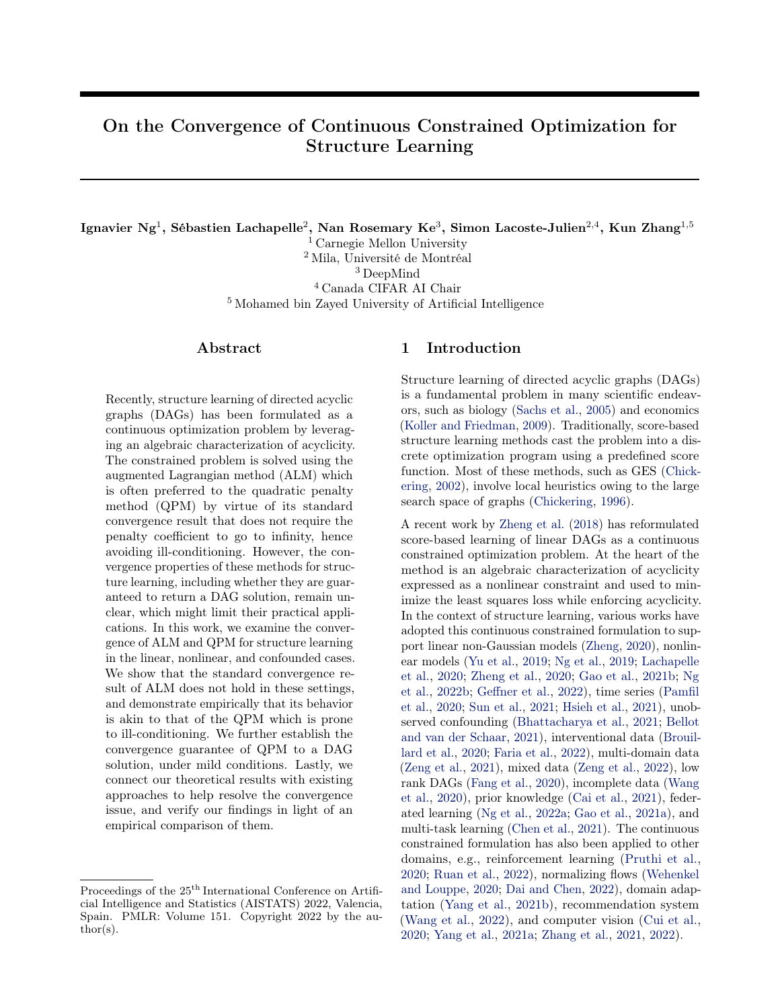<span id="page-8-2"></span>

Figure 2: Empirical results of different optimization algorithms for solving the QPM subproblems of NOTEARS on synthetic data. The ground truths are ER1 graphs and the sample size is  $n = 1000$ .

[E,](#page-16-0) with graph sizes  $d \n\geq f(10, 20, 50, 100q)$ . In the linear case, L-BFGS performs the best across most settings, while the performance of Adam is slightly better than L-BFGS in the nonlinear case. Gradient descent with momentum and NAG give rise to much higher SHD and SID, especially on large graphs.

As compared to first-order method, the observations above suggest that second-order method such as L-BFGS handles ill-conditioning better by incorporating curvature information through approximations of the Hessian matrix, which verifies our findings in Section [5.](#page-5-0) This is also consistent with the optimization literature [\(Bertsekas,](#page-9-16) [1999\)](#page-9-16) and the bivariate example in Appendix [C.](#page-14-2) The Adam algorithm, on the other hand, lies in the middle as it employs diagonal rescaling on the parameter space by maintaining running averages of past gradients [\(Bottou et al.,](#page-9-21) [2018\)](#page-9-21). In the nonlinear case, it may be surprising that Adam performs slightly better than L-BFGS, as its estimate of the Hessian matrix is not as accurate as that of L-BFGS. Nevertheless, this demonstrates its effectiveness for training MLPs, and may be understandable given its popularity in various deep learning tasks [\(Schmidt et al.,](#page-10-26) [2021\)](#page-10-26).

#### <span id="page-8-1"></span>6.3 Further Resolving the Convergence Issue

In this section, we provide empirical comparisons of different methods for resolving the convergence issue of the NOTEARS formulation, as described in Section [5.](#page-5-0) In particular, we compare NOTEARS-L1 (with L-BFGS) to Abs-KKTS<sup>[3](#page-8-3)</sup>, NoCurl, and GOLEM-EV. The implementation details of these methods are described in Appendix [D.](#page-16-1) Here we consider ER1 and SF4 graphs with 1000 and 3d samples.

<span id="page-8-4"></span>

Figure 3: Empirical results of different methods on synthetic data with ER1 graphs and  $n = 1000$  samples.

Figure [3](#page-8-4) shows the SHD on ER1 graphs with 1000 samples, while the complete results on ER1 and SF4 graphs with 1000 and 3d samples can be found in Figures [10](#page-22-0) and [11](#page-22-1) in Appendix [E.](#page-16-0) Overall, GOLEM-EV has the best performance across nearly all settings, especially in terms of SID. NOTEARS-L1 and Abs-KKTS perform similarly on SF4 graphs, while the former has lower SHD and SID on ER1 graphs. NoCurl has a high SHD especially for the case with 3d samples, which indicates that it requires a larger sample size to perform well. This experiment suggests that despite being susceptible to ill-conditioning, NOTEARS-L1 with L-BFGS is still very competitive in practice and performs even better than Abs-KKTS and NoCurl that are less susceptible to the convergence issue, possibly because L-BFGS can help remedy the ill-conditioning issue, as demonstrated in Section [6.2.](#page-7-0)

## <span id="page-8-0"></span>7 Conclusion

We examined the convergence of ALM and QPM for structure learning in the linear, nonlinear, and confounded cases. In particular, we dug into the standard convergence result of ALM and showed that the required regularity conditions are not satisfied in this setting. Further experiments demonstrate that ALM behaves similarly to QPM that requires bringing the penalty coefficient to infinity and is prone to ill-conditioning. We then showed theoretically and empirically that QPM guarantees convergence to a DAG solution, under mild conditions. The empirical studies also suggest that our analysis generalizes to the cases with  $\ell_1$  regularization. Lastly, we connected our theoretical results with different approaches to help resolve the convergence issue, and provided an empirical comparison of them to further illustrate our findings. In particular, it is worth noting that second-order method can help remedy the ill-conditioning issue of the continuous constrained formulation and therefore leads to competitive structure learning results in practice.

<span id="page-8-3"></span><sup>3</sup>We consider only Abs-KKTS instead of NOTEARS-KKTS because otherwise we also have to apply the KKTinformed local search for NoCurl and GOLEM-EV to ensure a fair comparison, which is not the focus of our work.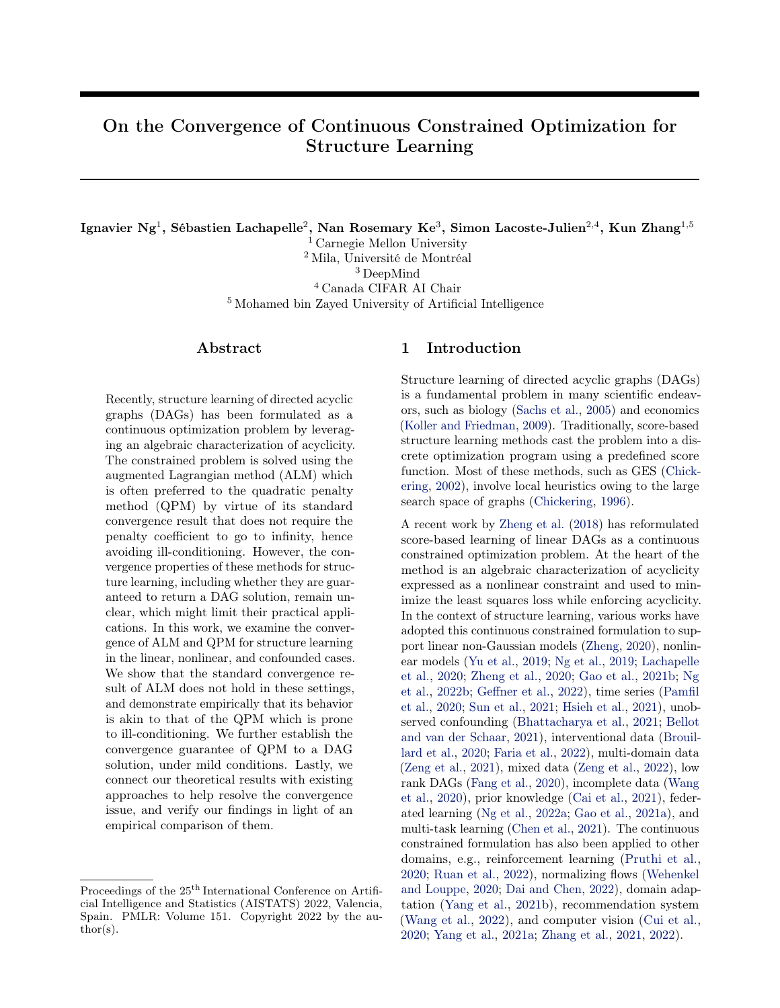## Acknowledgments

The authors would like to thank the anonymous reviewers for their useful comments. This work was supported in part by the National Institutes of Health (NIH) under Contract R01HL159805, by the NSF-Convergence Accelerator Track-D award #2134901, by the United States Air Force under Contract No. FA8650-17-C7715, by a grant from Apple, by the Canada CIFAR AI Chair Program, by an IVADO excellence PhD scholarship, and by a Google Focused Research award. The NIH or NSF is not responsible for the views reported in this article. Simon Lacoste-Julien is a CIFAR Associate Fellow in the Learning in Machines & Brains program.

#### References

- <span id="page-9-23"></span>A. Al-Mohy and N. Higham. A new scaling and squaring algorithm for the matrix exponential. SIAM Journal on Matrix Analysis and Applications, 31, 2009.
- <span id="page-9-20"></span>A. Antoniou and W.-S. Lu. Practical Optimization: Algorithms and Engineering Applications. 01 2007.
- <span id="page-9-24"></span>J. Bang-Jensen and G. Gutin. Digraphs. Theory, Algorithms and Applications. Springer Monographs in Mathematics, 2009.
- <span id="page-9-26"></span>A.-L. Barabási and R. Albert. Emergence of scaling in random networks. Science, 286(5439):509–512, 1999.
- <span id="page-9-6"></span>A. Bellot and M. van der Schaar. Deconfounded score method: Scoring DAGs with dense unobserved confounding. arXiv preprint arXiv:2103.15106, 2021.
- <span id="page-9-15"></span>D. P. Bertsekas. Constrained Optimization and Lagrange Multiplier Methods. Academic Press, 1982.
- <span id="page-9-16"></span>D. P. Bertsekas. Nonlinear Programming. Athena Scientific, 2nd edition, 1999.
- <span id="page-9-5"></span>R. Bhattacharya, T. Nagarajan, D. Malinsky, and I. Shpitser. Differentiable causal discovery under unmeasured confounding. In International Conference on Artificial Intelligence and Statistics, 2021.
- <span id="page-9-21"></span>L. Bottou, F. E. Curtis, and J. Nocedal. Optimization methods for large-scale machine learning. SIAM Rev., 60:223–311, 2018.
- <span id="page-9-7"></span>P. Brouillard, S. Lachapelle, A. Lacoste, S. Lacoste-Julien, and A. Drouin. Differentiable causal discovery from interventional data, 2020.
- <span id="page-9-22"></span>R. Byrd, P. Lu, J. Nocedal, and C. Zhu. A limited memory algorithm for bound constrained optimization. SIAM Journal on Scientific Computing, 16, 2003.
- <span id="page-9-10"></span>H. Cai, R. Song, and W. Lu. ANOCE: Analysis of causal effects with multiple mediators via constrained structural learning. In International Conference on Learning Representations, 2021.
- <span id="page-9-12"></span>X. Chen, H. Sun, C. Ellington, E. Xing, and L. Song. Multi-task learning of order-consistent causal graphs. In Advances in Neural Information Processing Systems, 2021.
- <span id="page-9-1"></span>D. M. Chickering. Learning Bayesian networks is NPcomplete. In Learning from Data: Artificial Intelligence and Statistics V. Springer, 1996.
- <span id="page-9-0"></span>D. M. Chickering. Optimal structure identification with greedy search. Journal of Machine Learning Research, 3(Nov):507–554, 2002.
- <span id="page-9-14"></span>Z. Cui, T. Song, Y. Wang, and Q. Ji. Knowledge augmented deep neural networks for joint facial expression and action unit recognition. In Advances in Neural Information Processing Systems, 2020.
- <span id="page-9-19"></span>J. Cussens. Bayesian network learning with cutting planes. In Conference on Uncertainty in Artificial Intelligence, 2011.
- <span id="page-9-13"></span>E. Dai and J. Chen. Graph-augmented normalizing flows for anomaly detection of multiple time series. In International Conference on Learning Representations, 2022.
- <span id="page-9-25"></span>P. Erdös and A. Rényi. On random graphs I. Publicationes Mathematicae, 6:290–297, 1959.
- <span id="page-9-9"></span>Z. Fang, S. Zhu, J. Zhang, Y. Liu, Z. Chen, and Y. He. Low rank directed acyclic graphs and causal structure learning. arXiv preprint arXiv:2006.05691, 2020.
- <span id="page-9-8"></span>G. R. A. Faria, A. Martins, and M. A. T. Figueiredo. Differentiable causal discovery under latent interventions. In Conference on Causal Learning and Reasoning, 2022.
- <span id="page-9-17"></span>R. Fletcher. Practical Methods of Optimization. Wiley-Interscience, 1987.
- <span id="page-9-11"></span>E. Gao, J. Chen, L. Shen, T. Liu, M. Gong, and H. Bondell. Federated causal discovery. arXiv preprint arXiv:2112.03555, 2021a.
- <span id="page-9-2"></span>Y. Gao, L. Shen, and S.-T. Xia. DAG-GAN: Causal structure learning with generative adversarial nets. In IEEE International Conference on Acoustics, Speech and Signal Processing (ICASSP), 2021b.
- <span id="page-9-3"></span>T. Geffner, E. Kiciman, A. Lamb, M. Kukla, M. Allamanis, and C. Zhang. FCause: Flow-based causal discovery, 2022. URL [https://openreview.net/](https://openreview.net/forum?id=HO_LL-oqBzW) [forum?id=HO\\_LL-oqBzW](https://openreview.net/forum?id=HO_LL-oqBzW).
- <span id="page-9-18"></span>P. Hoyer, D. Janzing, J. M. Mooij, J. Peters, and B. Schölkopf. Nonlinear causal discovery with additive noise models. In Advances in Neural Information Processing Systems, 2009.
- <span id="page-9-4"></span>T.-Y. Hsieh, Y. Sun, X. Tang, S. Wang, and V. G. Honavar. SrVARM: State regularized vector autoregressive model for joint learning of hidden state transitions and state-dependent inter-variable dependen-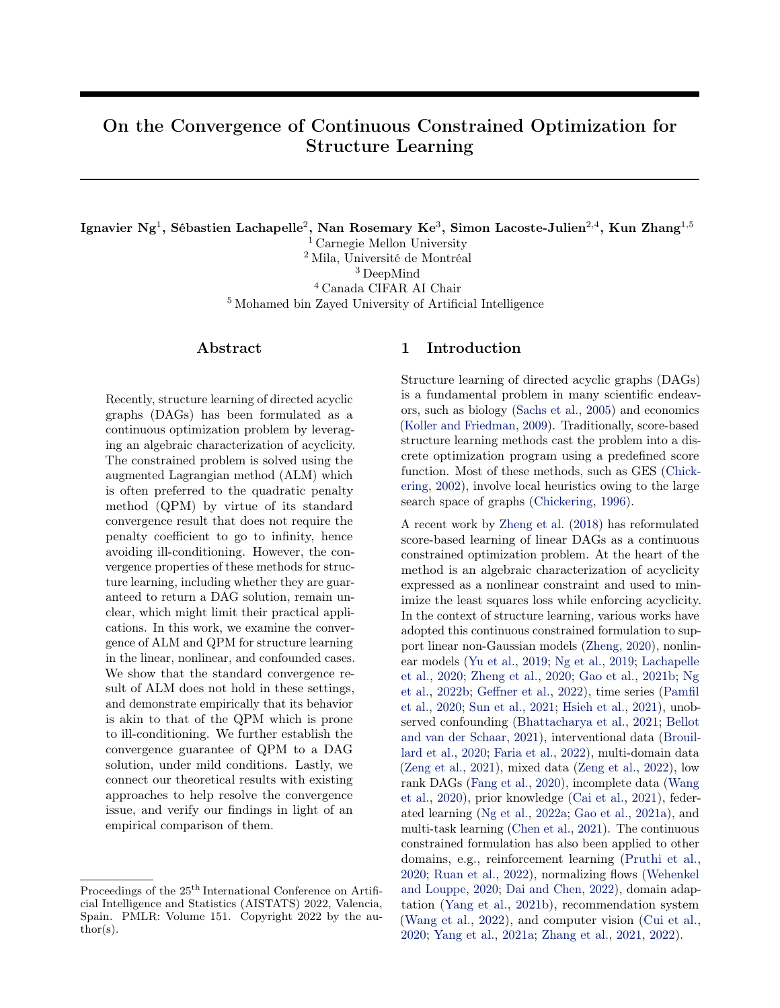cies from multi-variate time series. In Proceedings of the Web Conference, 2021.

- <span id="page-10-13"></span>T. Jaakkola, D. Sontag, A. Globerson, and M. Meila. Learning Bayesian network structure using LP relaxations. In International Conference on Artificial Intelligence and Statistics, 2010.
- <span id="page-10-19"></span>X. Jiang, L.-H. Lim, Y. Yao, and Y. Ye. Statistical ranking and combinatorial Hodge theory. Mathematical Programming, 127, 11 2011.
- <span id="page-10-25"></span>D. Kingma and J. Ba. Adam: A method for stochastic optimization. In International Conference on Learning Representations, 2014.
- <span id="page-10-14"></span>M. Koivisto and K. Sood. Exact Bayesian structure discovery in Bayesian networks. Journal of Machine Learning Research, 5(Dec):549–573, 2004.
- <span id="page-10-1"></span>D. Koller and N. Friedman. Probabilistic Graphical Models: Principles and Techniques. MIT Press, Cambridge, MA, 2009.
- <span id="page-10-3"></span>S. Lachapelle, P. Brouillard, T. Deleu, and S. Lacoste-Julien. Gradient-based neural DAG learning. In International Conference on Learning Representations, 2020.
- <span id="page-10-20"></span>L.-H. Lim. Hodge laplacians on graphs. SIAM Review, 62, 07 2015.
- <span id="page-10-21"></span>V. Nair and G. Hinton. Rectified linear units improve restricted Boltzmann machines. In International Conference on Machine Learning, 2010.
- <span id="page-10-24"></span>Y. E. Nesterov. A method for solving the convex programming problem with convergence rate  $O(1/k^2)$ . Doklady ANSSSR, 269:543–547, 1983.
- <span id="page-10-2"></span>I. Ng, S. Zhu, Z. Chen, and Z. Fang. A graph autoencoder approach to causal structure learning. arXiv preprint arXiv:1911.07420, 2019.
- <span id="page-10-18"></span>I. Ng, A. Ghassami, and K. Zhang. On the role of sparsity and DAG constraints for learning linear DAGs. In Advances in Neural Information Processing Systems, 2020.
- <span id="page-10-6"></span>I. Ng, , and K. Zhang. Towards federated Bayesian network structure learning with continuous optimization. In International Conference on Artificial Intelligence and Statistics, 2022a.
- <span id="page-10-4"></span>I. Ng, S. Zhu, Z. Fang, H. Li, Z. Chen, and J. Wang. Masked gradient-based causal structure learning. In SIAM International Conference on Data Mining, 2022b.
- <span id="page-10-16"></span>J. Nocedal and S. J. Wright. Numerical optimization. Springer series in operations research and financial engineering. Springer, 2nd edition, 2006.
- <span id="page-10-15"></span>S. Ott, S. Imoto, and S. Miyano. Finding optimal models for small gene networks. Pacific Symposium on

Biocomputing. Pacific Symposium on Biocomputing, 9:557–67, 2004.

- <span id="page-10-5"></span>R. Pamfil, N. Sriwattanaworachai, S. Desai, P. Pilgerstorfer, P. Beaumont, K. Georgatzis, and B. Aragam. DYNOTEARS: Structure learning from time-series data. In International Conference on Artificial Intelligence and Statistics, 2020.
- <span id="page-10-27"></span>A. Paszke, S. Gross, F. Massa, A. Lerer, J. Bradbury, G. Chanan, T. Killeen, Z. Lin, N. Gimelshein, L. Antiga, A. Desmaison, A. Kopf, E. Yang, Z. De-Vito, M. Raison, A. Tejani, S. Chilamkurthy, B. Steiner, L. Fang, J. Bai, and S. Chintala. Pytorch: An imperative style, high-performance deep learning library. In Advances in Neural Information Processing Systems, 2019.
- <span id="page-10-17"></span>J. Pearl. Causality: Models, Reasoning and Inference. Cambridge University Press, 2009.
- <span id="page-10-11"></span>J. Peters and P. Bühlmann. Identifiability of Gaussian structural equation models with equal error variances. Biometrika, 101(1):219–228, 2013a.
- <span id="page-10-22"></span>J. Peters and P. Bühlmann. Structural intervention distance (SID) for evaluating causal graphs. Neural Computation, 27, 2013b.
- <span id="page-10-12"></span>J. Peters, J. M. Mooij, D. Janzing, and B. Schölkopf. Causal discovery with continuous additive noise models. Journal of Machine Learning Research, 15(1): 2009–2053, 2014.
- <span id="page-10-9"></span>M. J. D. Powell. Nonlinear programming—sequential unconstrained minimization techniques. The Computer Journal, 12(3), 1969.
- <span id="page-10-7"></span>P. Pruthi, J. González, X. Lu, and M. Fiterau. Structure mapping for transferability of causal models. arXiv preprint arXiv:2007.09445, 2020.
- <span id="page-10-23"></span>N. Qian. On the momentum term in gradient descent learning algorithms. Neural Networks, 12(1):145–151, 1999.
- <span id="page-10-10"></span>G. Raskutti and C. Uhler. Learning directed acyclic graph models based on sparsest permutations. Stat, 7(1):e183, 2018.
- <span id="page-10-8"></span>J. Ruan, Y. Du, X. Xiong, D. Xing, X. Li, L. Meng, H. Zhang, J. Wang, and B. Xu. GCS: Graphbased coordination strategy for multi-agent reinforcement learning. In International Conference on Autonomous Agents and MultiAgent Systems, 2022.
- <span id="page-10-0"></span>K. Sachs, O. Perez, D. Pe'er, D. A. Lauffenburger, and G. P. Nolan. Causal protein-signaling networks derived from multiparameter single-cell data. Science, 308(5721):523–529, 2005.
- <span id="page-10-26"></span>R. M. Schmidt, F. Schneider, and P. Hennig. Descending through a crowded valley - benchmarking deep learning optimizers. In International Conference on Machine Learning, 2021.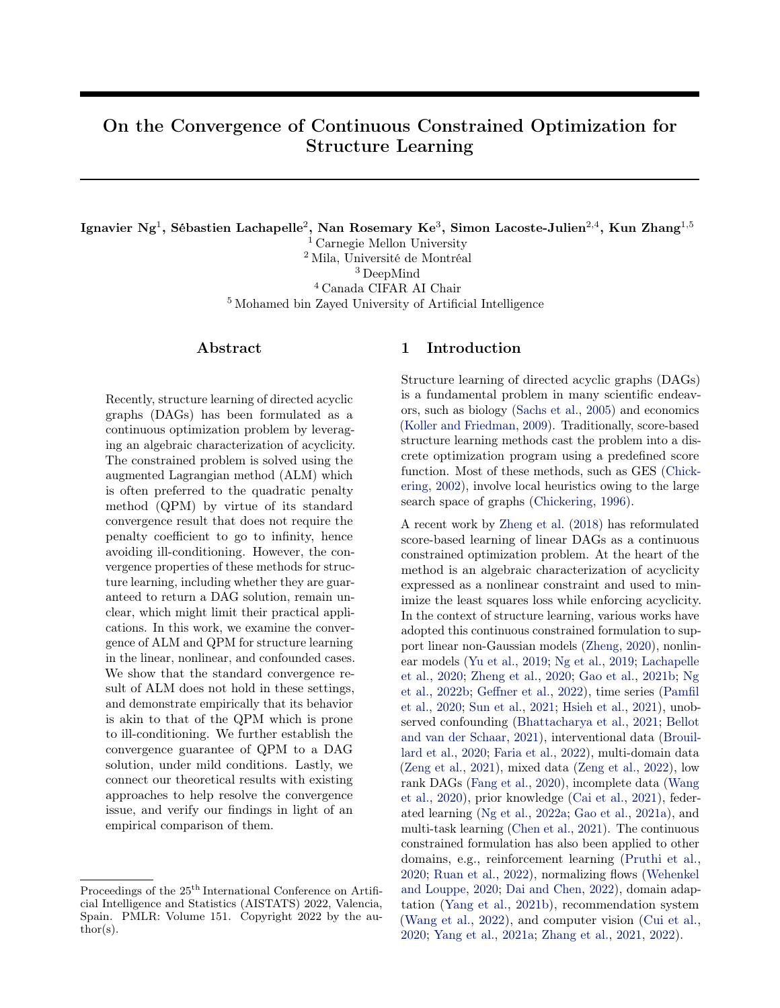- <span id="page-11-16"></span>S. Shimizu, P. O. Hoyer, A. Hyvärinen, and A. Kerminen. A linear non-Gaussian acyclic model for causal discovery. Journal of Machine Learning Research, 7 (Oct):2003–2030, 2006.
- <span id="page-11-19"></span>A. P. Singh and A. W. Moore. Finding optimal Bayesian networks by dynamic programming. Technical report, Carnegie Mellon University, 2005.
- <span id="page-11-15"></span>P. Spirtes, C. Glymour, and R. Scheines. Causation, Prediction, and Search. MIT press, 2nd edition, 2000.
- <span id="page-11-21"></span>X. Su, C. S. Wijayasinghe, J. Fan, and Y. Zhang. Sparse estimation of Cox proportional hazards models via approximated information criteria. Biometrics, 72 (3):751–759, 09 2016.
- <span id="page-11-4"></span>X. Sun, G. Liu, P. Poupart, and O. Schulte. NTS-NOTEARS: Learning nonparametric temporal DAGs with time-series data and prior knowledge. arXiv preprint arXiv:2109.04286, 2021.
- <span id="page-11-18"></span>S. Van de Geer and P. Bühlmann.  $\ell_0$ -penalized maximum likelihood for sparse directed acyclic graphs. The Annals of Statistics, 41(2):536–567, 2013.
- <span id="page-11-7"></span>Y. Wang, V. Menkovski, H. Wang, X. Du, and M. Pechenizkiy. Causal discovery from incomplete data: A deep learning approach. arXiv preprint arXiv:2001.05343, 2020.
- <span id="page-11-10"></span>Z. Wang, X. Chen, Z. Dong, Q. Dai, and J.-R. Wen. Sequential recommendation with causal behavior discovery. arXiv preprint arXiv:2204.00216, 2022.
- <span id="page-11-8"></span>A. Wehenkel and G. Louppe. Graphical normalizing flows. arXiv preprint arXiv:2006.02548, 2020.
- <span id="page-11-14"></span>D. Wei, T. Gao, and Y. Yu. DAGs with no fears: A closer look at continuous optimization for learning Bayesian networks. In Advances in Neural Information Processing Systems, 2020.
- <span id="page-11-11"></span>M. Yang, F. Liu, Z. Chen, X. Shen, J. Hao, and J. Wang. CausalVAE: Disentangled representation learning via neural structural causal models. In Proceedings of the IEEE Conference on Computer Vision and Pattern Recognition, 2021a.
- <span id="page-11-9"></span>S. Yang, K. Yu, F. Cao, L. Liu, H. Wang, and J. Li. Learning causal representations for robust domain adaptation. IEEE Transactions on Knowledge and Data Engineering, 2021b.
- <span id="page-11-2"></span>Y. Yu, J. Chen, T. Gao, and M. Yu. DAG-GNN: DAG structure learning with graph neural networks. In International Conference on Machine Learning, 2019.
- <span id="page-11-22"></span>Y. Yu, T. Gao, N. Yin, and Q. Ji. DAGs with no curl: An efficient DAG structure learning approach. In International Conference on Machine Learning, 2021.
- <span id="page-11-20"></span>C. Yuan and B. Malone. Learning optimal Bayesian networks: A shortest path perspective. Journal of Artificial Intelligence Research, 48(1):23–65, 2013.
- <span id="page-11-5"></span>Y. Zeng, S. Shimizu, R. Cai, F. Xie, M. Yamamoto, and Z. Hao. Causal discovery with multi-domain LiNGAM for latent factors. In International Joint Conference on Artificial Intelligence, 2021.
- <span id="page-11-6"></span>Y. Zeng, S. Shimizu, H. Matsui, and F. Sun. Causal discovery for linear mixed data. In Conference on Causal Learning and Reasoning, 2022.
- <span id="page-11-12"></span>C. Zhang, B. Jia, M. Edmonds, S.-C. Zhu, and Y. Zhu. ACRE: Abstract causal reasoning beyond covariation. In Proceedings of the IEEE Conference on Computer Vision and Pattern Recognition, 2021.
- <span id="page-11-17"></span>K. Zhang and A. Hyvärinen. On the identifiability of the post-nonlinear causal model. In Conference on Uncertainty in Artificial Intelligence, 2009.
- <span id="page-11-13"></span>W. Zhang, J. Liao, Y. Zhang, and L. Liu. CMGAN: A generative adversarial network embedded with causal matrix. Applied Intelligence, 2022.
- <span id="page-11-1"></span>X. Zheng. Learning DAGs with Continuous Optimization. PhD thesis, Carnegie Mellon University, 2020.
- <span id="page-11-0"></span>X. Zheng, B. Aragam, P. Ravikumar, and E. P. Xing. DAGs with NO TEARS: Continuous optimization for structure learning. In Advances in Neural Information Processing Systems, 2018.
- <span id="page-11-3"></span>X. Zheng, C. Dan, B. Aragam, P. Ravikumar, and E. P. Xing. Learning sparse nonparametric DAGs. In International Conference on Artificial Intelligence and Statistics, 2020.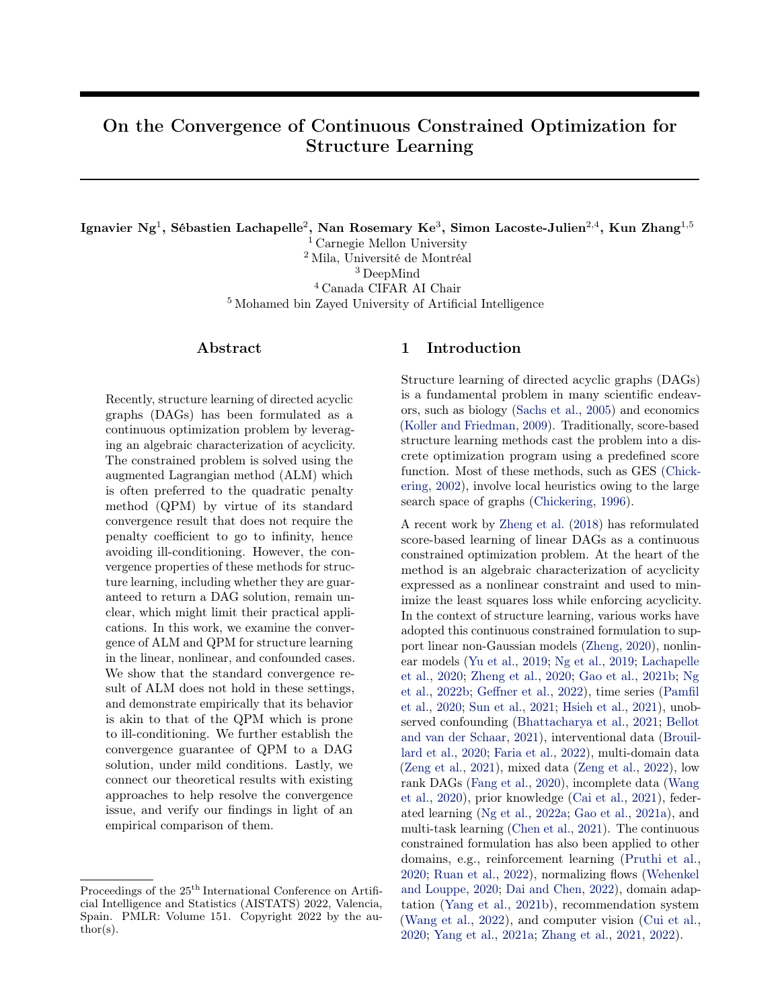# Supplementary Material: On the Convergence of Continuous Constrained Optimization for Structure Learning

## <span id="page-12-0"></span>A Optimality Conditions for Equality Constrained Problems

We review the optimality conditions for equality constrained optimization problems, which are required for the study in Sections [2.3](#page-2-2) and [3.1.](#page-3-8) Note that the following conditions are adopted from Theorems 12.1 and 12.6 in [Nocedal and Wright](#page-10-16) [\(2006\)](#page-10-16), respectively.

<span id="page-12-2"></span>**Definition 2 (First-order necessary conditions).** Suppose that  $\theta$  is a local solution of [\(2\)](#page-2-0), that the functions f and h in [\(2\)](#page-2-0) are continuously di erentiable, and that the LICQ holds at  $\theta$  . Define the Lagrangian function of  $(2)$  as

$$
L(\theta, \alpha) = f(\theta) + \alpha^{\mathsf{T}} h(\theta),
$$

<span id="page-12-3"></span>where  $\alpha$  2 R<sup>p</sup>. Then there is a Lagrange multiplier vector  $\alpha$  such that the following conditions are satisfied at  $(\theta, \alpha)$ :

$$
\Gamma_{\theta} \mathcal{L}(\theta, \alpha) = 0, \tag{8a}
$$

$$
h(\theta) = 0. \tag{8b}
$$

**Definition 3 (Second-order sufficient conditions).** Let  $L(\theta, \alpha)$  be the Lagrangian function of [\(2\)](#page-2-0) as in Definition [2.](#page-12-2) Suppose that for some feasible point  $\theta$  there is a Lagrange multiplier vector  $\alpha$  such that the conditions [\(8\)](#page-12-3) are satisfied. Suppose also that

 $y^{\mathsf{T}} \Gamma^2_{\theta \theta} L(\theta, \alpha) y > 0$ , for all  $y \neq 0$  with  $\Gamma_{\theta} h(\theta) y = 0$ .

Then  $\theta$  is a strict local solution for [\(2\)](#page-2-0).

## B Proofs

#### <span id="page-12-1"></span>B.1 Proof of Theorem [2](#page-3-6)

**Proof for function**  $h_{\text{exp}}(W)$ .

We first provide the proof for function  $h_{\text{exp}}(W)$ . Its gradient is given by

$$
\Gamma_W h_{\exp}(W) = (e^{W-W})^{\mathsf{T}} \quad 2W.
$$

#### If part:

We first consider the diagonal entries  $W_{ii}$  for  $i \geq [d]^4$  $i \geq [d]^4$ . Since  $((e^{W-W})^T)_{ii} = 1$ ,  $(\bigcap_{W} h_{\exp}(W))_{ii} = 0$  implies that  $W_{ii} = 0$ , or equivalently, the structure defined by W does not have any self-loop. Now we consider the  $(j, i)$ -th entry of W with  $j \notin i$ .  $(\big\lceil \nabla_W h_{\text{exp}}(W) \big\rceil_{ji} = 0$  indicates that at least one of  $W_{ji}$  and  $((e^{W-W})^{\text{T}})_{ji}$  is zero. Therefore, the edge from node  $j$  to node  $i$ , if exists, must not belong to any cycle. Combining the above cases, we conclude that all edges must not be part of any self-loop or cycle, and that W represents a DAG, i.e.,  $h_{\text{exp}}(W) = 0$ .

#### Only if part:

Notice that  $h_{\text{exp}}(W) = 0$  implies that W represents a DAG. Since there is not any self-loop, the diagonal entries of W are zero, and so are the diagonal entries of  $\Gamma_W h_{\text{exp}}(W)$ . It remains to consider the  $(j, i)$ -th entry of  $\bigcap_{W} h_{\text{exp}}(W)$  with  $j \notin i$ :

<span id="page-12-4"></span><sup>&</sup>lt;sup>4</sup>We denote by [d] the set  $f_1, 2, \ldots, dg$ , likewise for the others.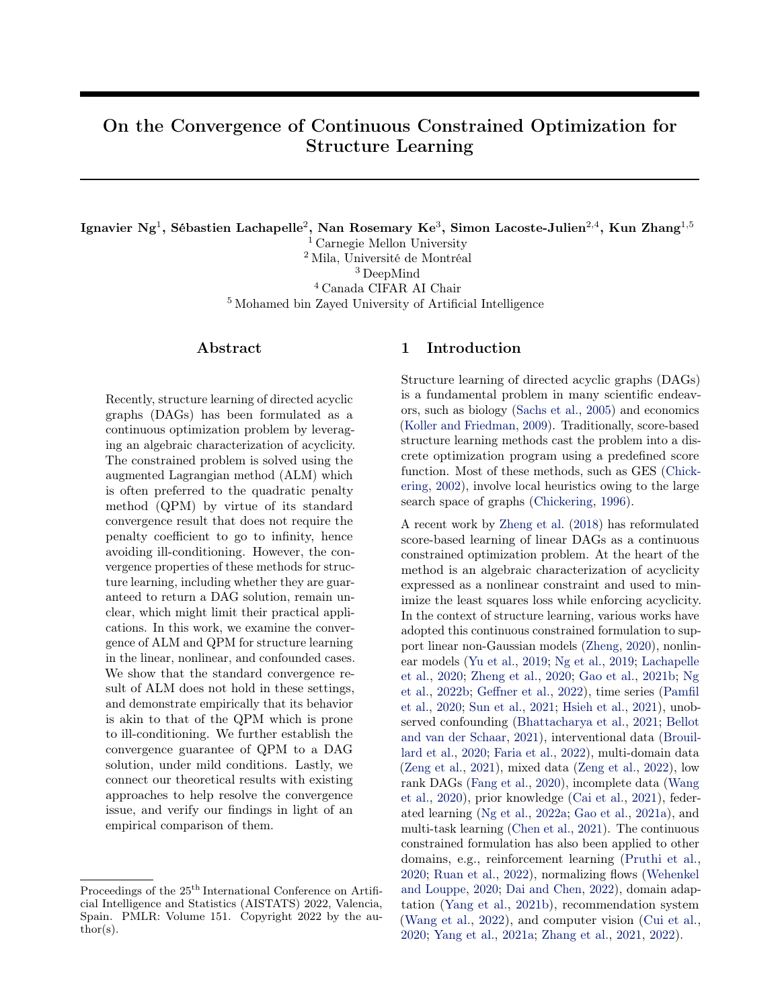- If  $W_{ji} = 0$ , then it is clear that  $(\bigcap_{W} h_{\text{exp}}(W))_{ji} = 0$ .
- If  $W_{ji} \notin 0$ , then there is an edge from node j to node i with weight  $W_{ji}$ . The other term  $((e^{W-W})^{\mathsf{T}})_{ji}$ indicates the total number of weighted walks from node i to node j. If both  $W_{ji}$  and  $((e^{W-W})^{\mathsf{T}})_{ji}$  are nonzero, then there is at least a weighted closed walk passing through nodes  $i$  and  $j$ , contradicting the statement that W represents a DAG.

Therefore, at least one of  $W_{ji}$  and  $((e^{W-W})^{\mathsf{T}})_{ji}$  must be zero, and we have  $(r_{W}h_{\text{exp}}(W))_{ji} = 0$ .

**Proof for function**  $h_{\text{exp}}(B(A)).$ 

We now provide the proof for function  $h_{\text{exp}}(B(A))$ , which is an extension to the proof for function  $h_{\text{exp}}(W)$ . Let  $A^{(t)} = (A_1^{(t)}, \ldots, A_d^{(t)})$   $\supseteq \mathbb{R}^{d-s_{t-1}-s_t}$  denote the weights in the t-th layer of the MLPs corresponding to all variables. Since  $B(A)$  depends only on  $A^{(1)}$  by definition, we have

$$
\Gamma_{A^{(t)}}h_{\exp}(B(A))=0, \quad t=2,\ldots,\ell.
$$

Therefore, it suffices to consider the case of  $t = 1$ , i.e., the weights in the first layer of the MLPs, and show that  $h(B(A)) = 0$  if and only if  $\Gamma_{A^{(1)}} h_{\text{exp}}(B(A)) = 0$ . Note that we have  $A^{(1)} \n\supset R^{d} \n\stackrel{d}{\longrightarrow} s_1$ , and the  $(j, i, s)$ -entry of the gradient is given by

$$
(\Gamma_{A^{(1)}}h_{\exp}(B(A)))_{jis} = ((e^{B(A) - B(A)})^{\mathsf{T}})_{ji} - 2(A^{(1)})_{jis}, \quad j, i \geq [d], \ s \geq [s_1].
$$

For clarity, we restate the definition of  $B(A)$  in terms of  $A^{(1)}$ :

<span id="page-13-0"></span>
$$
(B(A))_{ji} = kjth-row (A_i^{(1)})_{k_2}
$$
  
=  $\left(\sum_{s=1}^{s_1} ((A^{(1)})_{jis})^2\right)^{\frac{1}{2}}, \quad j, i \geq [d].$  (9)

#### If part:

We first consider the diagonal entries  $(B(A))_{ii}$  for  $i \in [d]$ . Since  $((e^{B(A) - B(A)})^{\mathsf{T}})_{ii}$  1,  $(r_{A^{(1)}}h_{\exp}(B(A)))_{ii} = 0$ implies that  $(A^{(1)})_{iis} = 0$  for  $s \; 2 [s_1]$  and therefore  $(B(A))_{ii} = 0$ , indicating that the structure defined by  $B(A)$ does not have any self-loop. Now we consider the  $(j, i)$ -th entry of  $B(A)$  with  $j \notin i$ . Suppose  $(B(A))_{ii} \notin 0$ , i.e., there is an edge from node j to node i in the structure defined by  $B(A)$ . By Eq. [\(9\)](#page-13-0), there exists  $s \geq |s_1|$  such that  $(A^{(1)})_{jis} > 0$ , which, with the assumption of  $(\Gamma_{A^{(1)}} h_{\text{exp}}(B(A)))_{jis} = 0$ , implies that  $((e^{B(A)} B^{(A)})^{\text{T}})_{ji} = 0$ . This indicates that there is not any weighted walk from node  $i$  to node  $j$ . Therefore, the edge from node  $j$  to node i, if exists, must not belong to any cycle. Combining the above cases, we conclude that all edges must not be part of any self-loop or cycle, and that  $B(A)$  represents a DAG, i.e.,  $h_{\text{exp}}(B(A)) = 0$ .

#### Only if part:

Notice that  $h_{\text{exp}}(B(A)) = 0$  implies that  $B(A)$  represents a DAG. Since there is not any self-loop,  $(B(A))_{ii} = 0$ indicates that  $(A^{(1)})_{iis} = 0$  for s 2 [s<sub>1</sub>], and therefore  $(\Gamma_{A^{(1)}}h_{\exp}(B(A)))_{iis} = 0$ . It remains to consider the  $(j, i, s)$ -th entry of  $r_{A^{(1)}}h_{\text{exp}}(B(A))$  with  $j \neq i$  and  $s \geq [s_1]$ :

- If  $(A^{(1)})_{iis} = 0$ , then it is clear that  $(\Gamma_{A^{(1)}}h_{\exp}(B(A)))_{iis} = 0$ .
- If  $(A^{(1)})_{jis} \notin 0$ , then we must have  $(B(A))_{ji} \notin 0$  by Eq. [\(9\)](#page-13-0) and there is an edge from node j to node i in the structure defined by  $B(A)$ . The other term  $((e^{B(A) - B(A)})^{\mathsf{T}})_{ji}$  indicates the total number of weighted walks from node *i* to node *j*. If both  $(A^{(1)})_{jis}$  and  $((e^{B(A) - B(A)})^{\mathsf{T}})_{ji}$  are nonzero, there is at least a weighted closed walk passing through nodes i and j, contradicting the statement that  $B(A)$  represents a DAG.

Therefore, at least one of  $(A^{(1)})_{jis}$  and  $((e^{B(A)-B(A)})^{\mathsf{T}})_{ji}$  must be zero, and we have  $(r_{A^{(1)}}h_{\exp}(B(A)))_{jis} = 0$ .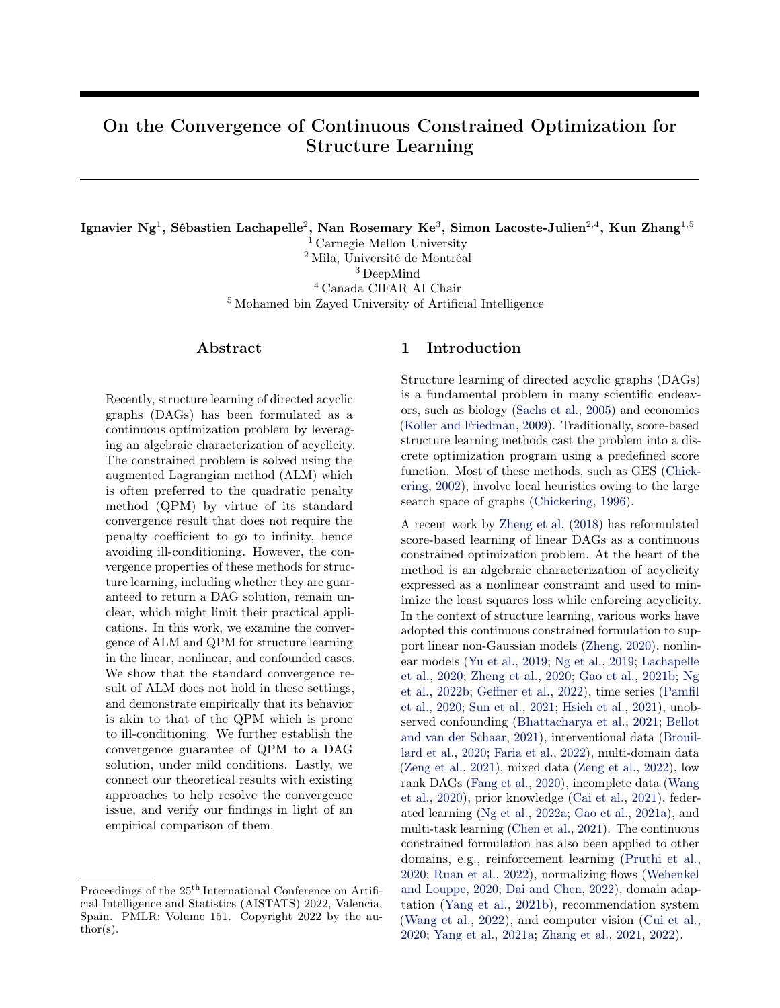#### <span id="page-14-0"></span>B.2 Proof of Theorem [3](#page-4-2)

By differentiating  $Q(\theta; \rho_k)$  in Eq. [\(6\)](#page-4-4), we obtain

$$
\Gamma \theta Q(\theta_k; \rho_k) = \Gamma \theta f(\theta_k) + \rho_k h(B(\theta_k)) \Gamma \theta h(B(\theta_k)).
$$

From the termination criterion of the subproblems in Algorithm [2,](#page-4-1) we have

$$
kr_{\theta} f(\theta_k) + \rho_k h(B(\theta_k)) r_{\theta} h(B(\theta_k)) k_2 \quad \tau_k \quad \tau,
$$

where  $\tau$  is an upper bound on  $f_{\tau_k}g$ . By rearranging this expression (and in particular using the inequality  $kak_2$   $kbk_2$   $ka + bk_2$ , we obtain

$$
kh(B(\theta_k))\cap \theta h(B(\theta_k))k_2 \quad \frac{1}{\rho_k}(\tau + k\cap \theta f(\theta_k)k_2).
$$

Let  $\theta$  be a limit point of the sequence of iterates. Then there is a subsequence K such that  $\lim_{k\geq K}\theta_k = \theta$ . By the continuity of  $\Gamma_{\theta}f$ , when we take limits as k ! 1 for k 2 K, the bracketed term on the right-handside approaches  $\tau + k \rho f(\theta) k_2$ , so because  $\rho_k$  ! 1, the right-hand-side approaches zero. This implies that  $\lim_{k \geq k} kh(B(\theta_k))\Gamma_{\theta}h(B(\theta_k))k_2 = 0$ . By the continuity of h,  $\Gamma_{\theta}h$ , and B, we conclude that

$$
h(B(\theta))\cap \theta h(B(\theta))=0,
$$

which, by Assumption [1,](#page-3-5) yields

 $h(B(\theta))=0.$ 

#### <span id="page-14-1"></span>B.3 Proof of Theorem [4](#page-5-1)

The gradient of  $h_{\text{bf}}(W,\Omega)$  is given by

$$
\begin{aligned} \n\Gamma_W h_{\text{bf}}(W, \Omega) &= (e^{W-W})^{\mathsf{T}} & 2W + 2W & \Omega & \Omega, \\ \n\Gamma_{\Omega} h_{\text{bf}}(W, \Omega) &= 2W & W & \Omega. \n\end{aligned}
$$

#### If part:

The gradient term  $\Gamma_{\Omega}h_{\text{Df}}(W,\Omega) = 2W \quad W \quad \Omega = 0$  indicates that  $W_{ii}\Omega_{ii} = 0$  for j, i 2 [d], and thus there is not any bow in the structure defined by W and  $\Omega$ . Therefore, we also have  $2W \Omega = 0$ , which, with  $\Gamma_W h_{\text{bf}}(W, \Omega) = 0$ , implies that  $(e^{W-W})^{\mathsf{T}}$   $2W = 0$ . By Theorem [2,](#page-3-6) this indicates that there is not any directed cycle. Therefore, the structure defined by W and  $\Omega$  is a bow-free ADMG and we have  $h_{\text{bf}}(W,\Omega) = 0$ .

#### Only if part:

Notice that  $h_{\text{bf}}(W,\Omega) = 0$  implies that the structure defined by W and  $\Omega$  is a bow-free ADMG. Since there is not any directed cycle in an ADMG, we have  $(e^{W-W})^{\mathsf{T}}$  2W = 0 by Theorem [2.](#page-3-6) Furthermore, since there is not any bow in the structure, we must have  $W_{ji}\Omega_{ji} = 0$  for j, i 2 [d], which implies  $2W \Omega = 0$  and  $2W \Omega = 0$ . Therefore, we have  $\Gamma_W h_{\text{bf}}(W, \Omega) = 0$  and  $\Gamma_{\Omega} h_{\text{bf}}(W, \Omega) = 0$ .

#### <span id="page-14-2"></span>C Bivariate Example: Ill-Conditioning and Optimization Algorithms

We provide a bivariate example to illustrate the ill-conditioning issue and the effectiveness of different optimization algorithms. Here we focus on the asymptotic case in which the true covariance matrix is known.

Setup. Consider the bivariate linear Gaussian model defined by the weighted adjacency matrix

$$
W_0 = \begin{bmatrix} 0 & 2 \\ 0 & 0 \end{bmatrix}
$$

and noise covariance matrix

$$
\Omega_0 = \begin{bmatrix} 1 & 0 \\ 0 & 1 \end{bmatrix}.
$$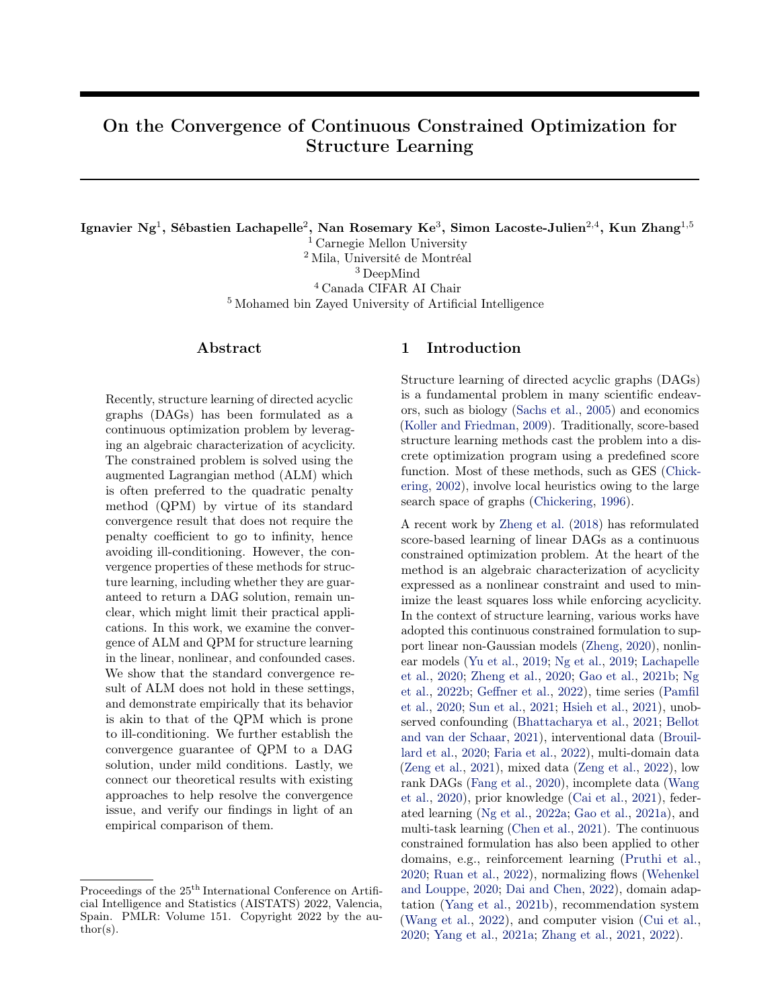<span id="page-15-0"></span>

Figure 4: Contour plots of the quadratic penalty function  $Q(W; \rho)$  with different penalty coefficients. The optimization trajectories of different algorithms for minimizing  $Q(W; \rho)$  are visualized.

In other words, the additive noises are assumed to be standard Gaussians. The true covariance matrix of X is then given by

$$
\Sigma_0 = \begin{pmatrix} I & W_0 \end{pmatrix} \begin{bmatrix} \nabla \Omega_0 (I & W_0) \end{bmatrix}^{-1}
$$

$$
= \begin{bmatrix} 1 & 2 \\ 2 & 5 \end{bmatrix}.
$$

We define the matrix  $W$  with variables  $b$  and  $c$  as

$$
W = \begin{bmatrix} 0 & b \\ c & 0 \end{bmatrix},
$$

which yields the corresponding least squares objective

$$
f(W) = \frac{1}{2} \text{tr} \left( (I - W)^{\mathsf{T}} \Sigma_0 (I - W) \right)
$$
  
=  $\frac{1}{2} \left( (b - 2)^2 + (2c - 1)^2 + c^2 + 1 \right)$ 

.

We consider a simplified DAG constraint  $bc = 0$ , which leads to the quadratic penalty function

$$
Q(W; \rho) = f(W) + \frac{\rho}{2}b^{2}c^{2}.
$$

Clearly, W represents a DAG if and only if  $bc = 0$ .

**Contour.** The contour plots of  $Q(W; \rho)$  w.r.t. variables b and c with different penalty coefficients, i.e.,  $\rho = 0, 1, 10^6$ , are visualized in Figure [4.](#page-15-0) When  $\rho = 0$ , the contour is elliptical as the least squares objective corresponds to a quadratic function. With a small penalty coefficient  $\rho = 1$ , the contour is slightly stretched out and deviates from being elliptical. When a large coefficient  $\rho = 10^6$  is used, the function contour is highly stretched out along both x and y axes. In this case, when the values of b and c are moderately large, a small change in either of them can lead to a large change in the penalty function  $Q(W; \rho)$ .

Optimization algorithms. We further study the behavior of different optimization algorithms for solving the minimization problem of  $Q(W; \rho)$ . In particular, we visualize the trajectories of Newton's method, L-BFGS [\(Byrd et al.,](#page-9-22) [2003\)](#page-9-22), Adam [\(Kingma and Ba,](#page-10-25) [2014\)](#page-10-25), and gradient descent starting from the point  $(b, c) = (13, 2)$ . We pick an initial point that is relatively far from the origin for better illustration of the ill-conditioning issue.

The optimization trajectories and the stationary points for different penalty coefficients are visualized in Figure [4.](#page-15-0) When  $\rho = 0, 1$ , all four algorithms converge to the unique stationary point. With a small penalty coefficient  $\rho = 1$ , one observes that gradient descent moves along a zigzag path during the first few iterations. A possible reason is that the gradients may not be the best direction to descend to the stationary point. This phenomenon becomes more severe when  $\rho = 10^6$  is used; specifically, gradient descent follows a zigzag path and eventually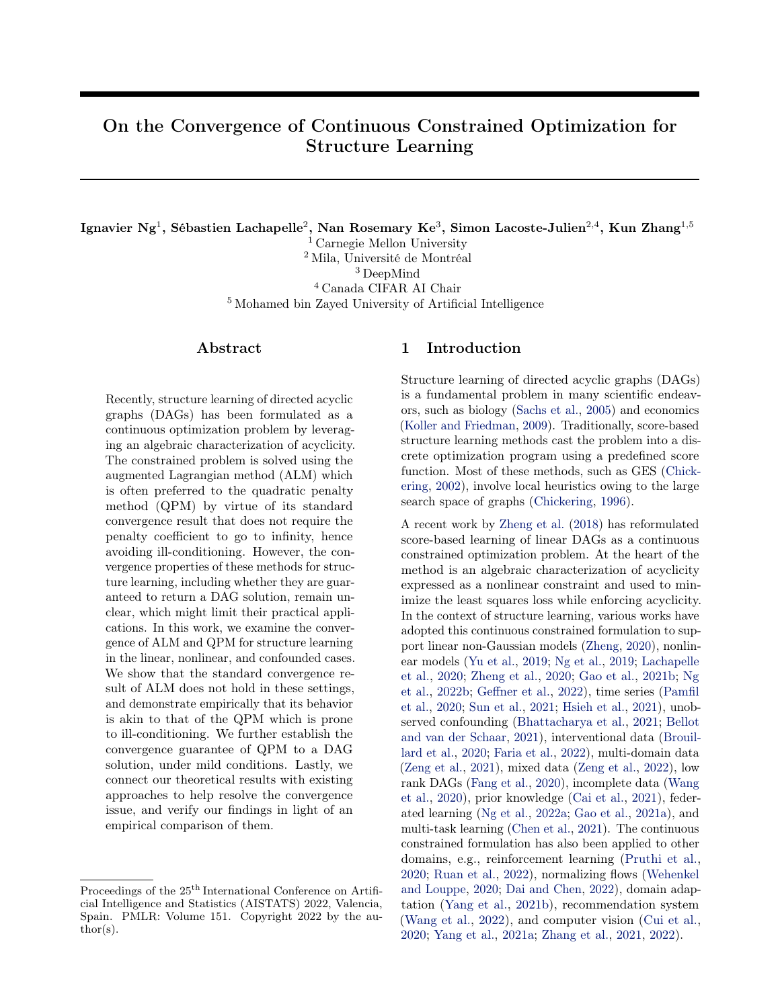reaches a point where it no longer makes progress, owing to the ill-posed optimization landscape. In this case, Newton's method and Adam converge to the same stationary point, while L-BFGS converges to the other one. It is also observed that Newton's method converges in the fewest number of iterations in all cases, and L-BFGS is on par with it as compared to Adam and gradient descent.

The observations above demonstrate that ill-conditioning is a huge concern especially for first-order method like gradient descent, which may produce a bad solution or not converge well. They also corroborate our findings in Section [6.2,](#page-7-0) i.e, second-order method like Newton's method and L-BFGS helps resolve the ill-conditioning issue by incorporating the curvature information. In particular, Newton's method computes the direction of descent using both first-order (Jacobian) and second-order (Hessian) information, while, instead of explicitly evaluating the Hessian matrix, L-BFGS relies on the approximations of Hessian. Therefore, Newton's method is computationally less efficient in practice, which thus is not included in the experiments in Section [6.2.](#page-7-0) On the other hand, the Adam algorithm, loosely speaking, lies in the middle between first-order and second-order methods as it employs diagonal rescaling on the parameter space that can be interpreted as second-order-type information [\(Bottou et al.,](#page-9-21) [2018\)](#page-9-21). Therefore, it can be less susceptible to ill-conditioning as compared to gradient descent, but may require more iterations to converge than Newton's method and L-BFGS.

In the empirical study above, we find that gradient descent is sensitive to the choice of learning rate (or referred to as the step size). Therefore, we manually pick it such that the algorithm does not diverge or converge too slowly. For the other algorithms, they are relatively robust to the choice of learning rate.

# <span id="page-16-1"></span>D Supplementary Experiment Details

This section provides further experiment details of different optimization algorithms and structure learning methods for Section [6.](#page-6-0)

Optimization algorithms. We implement the optimization algorithms including gradient descent with momentum, NAG, and Adam with PyTorch [\(Paszke et al.,](#page-10-27) [2019\)](#page-10-27). For Adam, we use a learning rate of 10<sup>3</sup>. For gradient descent with momentum and NAG, we set the learning rate to 10<sup> $4$ </sup> and the momentum factor to 0.9. We set the number of optimization iterations to  $10<sup>4</sup>$  for all these algorithms. We use the implementation and default hyperparameters of L-BFGS released by [Zheng et al.](#page-11-0) [\(2018,](#page-11-0) [2020\)](#page-11-3).

Structure learning methods. The implementations of Abs-KKTS<sup>[5](#page-16-2)</sup>, NoCurl<sup>[6](#page-16-3)</sup>, and GOLEM-EV<sup>[7](#page-16-4)</sup> are available on the authors' GitHub repositories. For all these methods, we use the default hyperparameters and the DAG constraint term proposed by [Zheng et al.](#page-11-0) [\(2018\)](#page-11-0), i.e.,  $h_{\text{exp}}(W)$ , although some of the authors' original implementations adopt the polynomial alternative proposed by [Yu et al.](#page-11-2) [\(2019\)](#page-11-2), i.e.,  $h_{\text{poly}}(W)$ . Similar to NOTEARS, we use a pre-processing step to center the data by subtracting the mean of each variable from the samples X.

## <span id="page-16-0"></span>E Supplementary Experiment Results

This section provides further experiment results for Section [6;](#page-6-0) see Figures [5,](#page-17-0) [6,](#page-18-0) [7,](#page-19-0) [8,](#page-20-0) [9,](#page-21-0) [10,](#page-22-0) and [11.](#page-22-1)

<span id="page-16-2"></span><sup>&</sup>lt;sup>5</sup>[https://github.com/skypea/DAG\\_No\\_Fear](https://github.com/skypea/DAG_No_Fear)

<span id="page-16-3"></span><sup>6</sup> <https://github.com/fishmoon1234/DAG-NoCurl>

<span id="page-16-4"></span><sup>&</sup>lt;sup>7</sup><https://github.com/ignavierng/golem>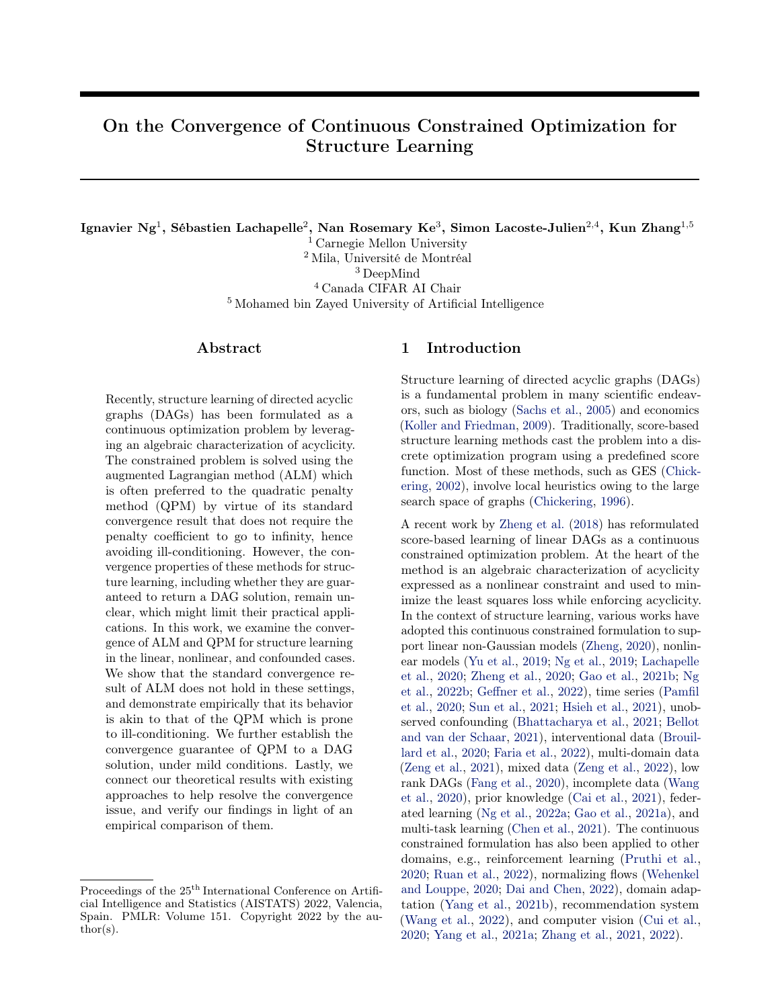<span id="page-17-0"></span>

Figure 5: Optimization processes of the continuous constrained formulation using ALM and QPM on synthetic data. The ground truths are 10-node ER1 graphs and the sample size is  $n = 1000$ . Each data point corresponds to the k-th iteration. Shaded area denotes standard errors over 30 trials.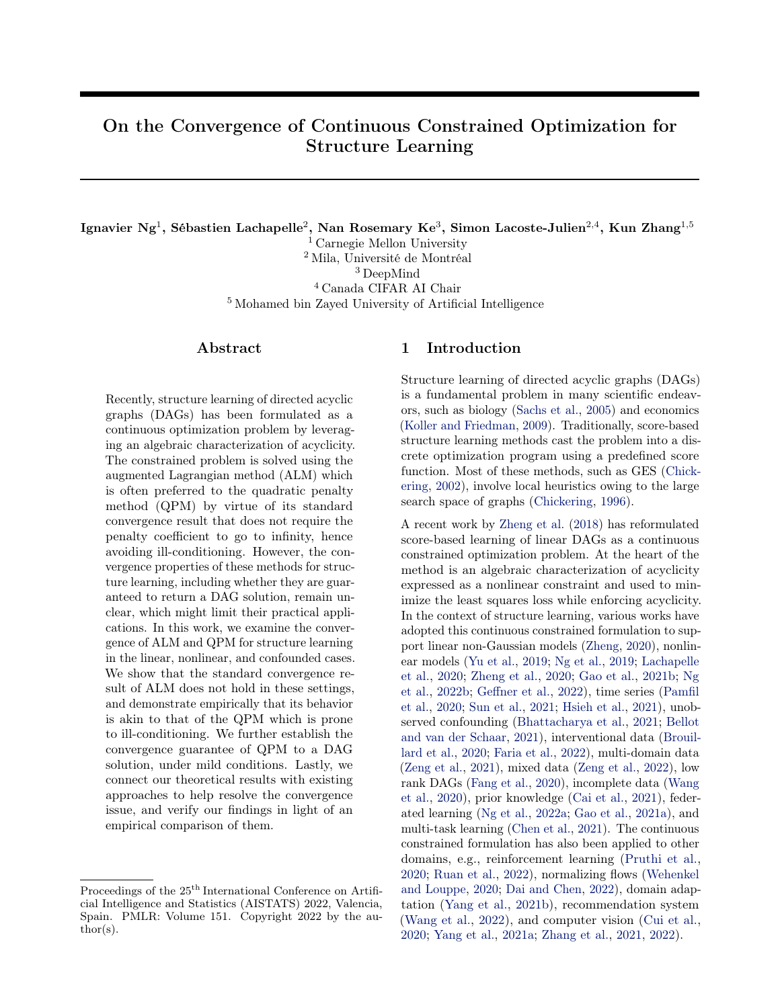<span id="page-18-0"></span>

Figure 6: Empirical results of the continuous constrained formulation using ALM and QPM on synthetic data. The ground truths are ER1 graphs and the sample size is  $n = 1000$ . Lower is better, except for TPR. Error bars denote standard errors over 30 trials.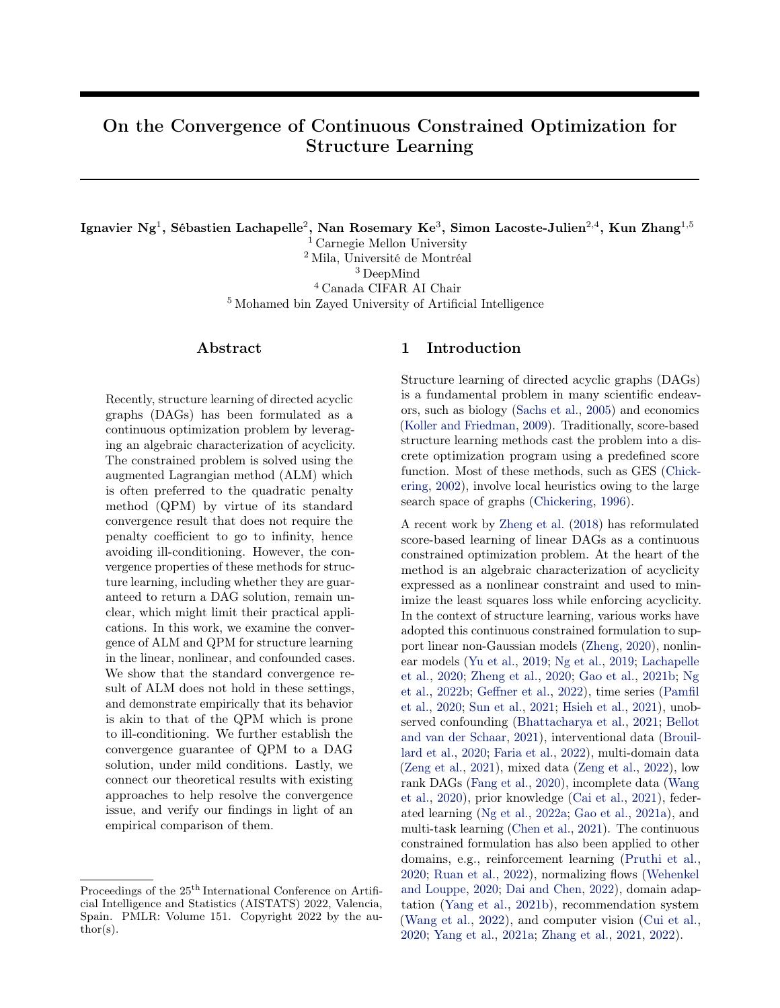<span id="page-19-0"></span>

Figure 7: Optimization processes of the continuous constrained formulation using ALM and QPM on a real dataset by [Sachs et al.](#page-10-0) [\(2005\)](#page-10-0). Each data point corresponds to the k-th iteration. Shaded area denotes standard errors over 30 trials.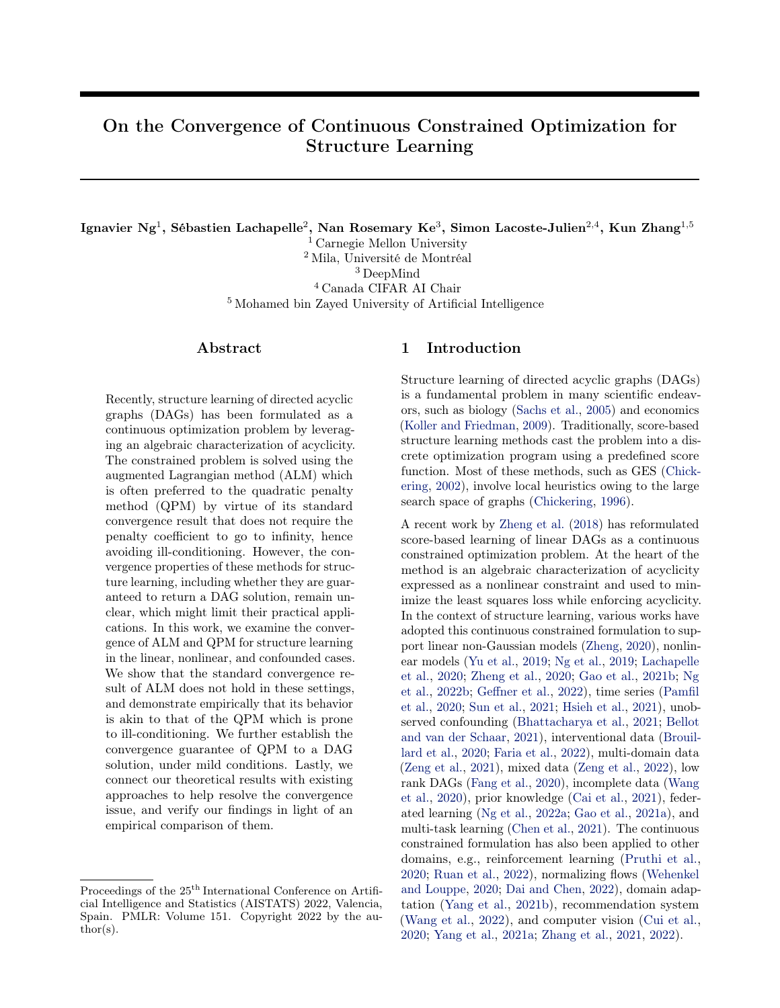<span id="page-20-0"></span>

(a) NOTEARS.



#### (b) NOTEARS-MLP-L1.

Figure 8: Optimization processes of different optimization algorithms for solving the QPM subproblems of NOTEARS and NOTEARS-MLP-L1 on synthetic data. The ground truths are 100-node ER1 graphs and the sample size is  $n = 1000$ . Each data point corresponds to the k-th iteration. Shaded area denotes standard errors over 30 trials. The blue line overlaps with the orange line in the first panel.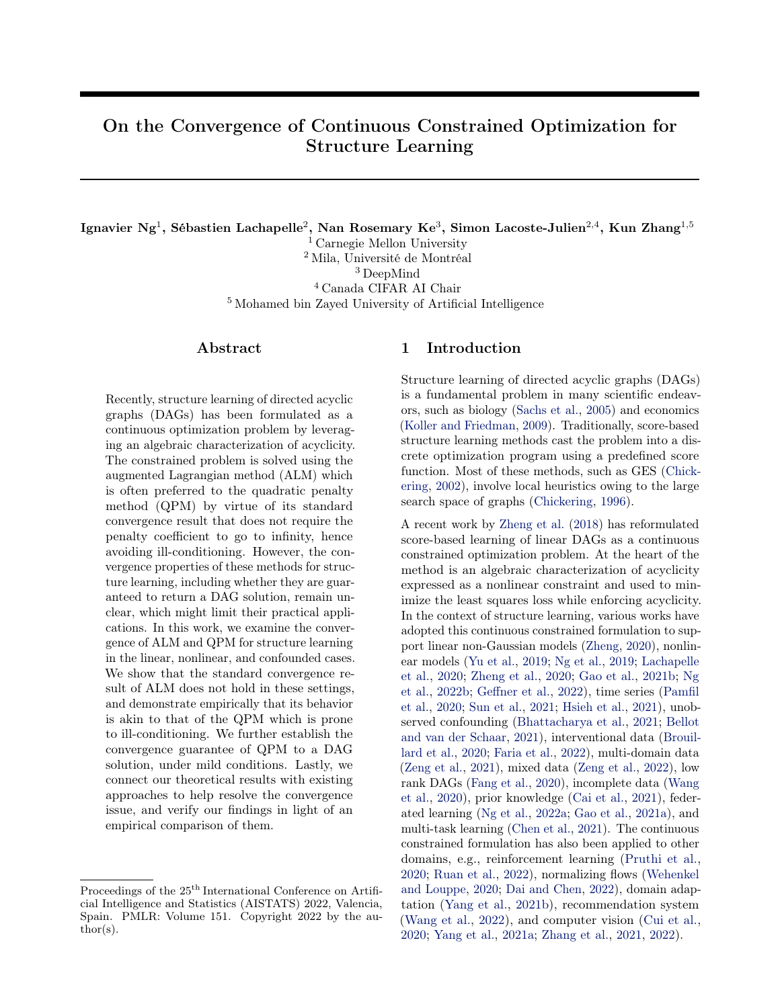<span id="page-21-0"></span>

(d) NOTEARS-MLP-L1 with SF4 graphs.

Figure 9: Empirical results of different optimization algorithms for solving the QPM subproblems of NOTEARS and NOTEARS-MLP-L1 on synthetic data. The sample size is  $n = 1000$ . Lower is better, except for TPR. Error bars denote standard errors over 30 trials.